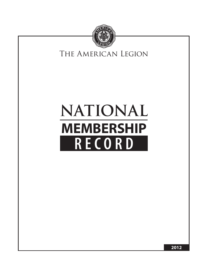

## The American Legion Legion

# **NATIONAL MEMBERSHIP RECORD**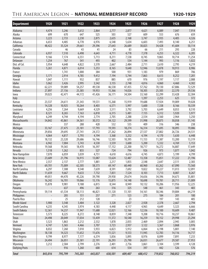#### The American Legion – **NATIONAL MEMBERSHIP RECORD 1920-1929**

| <b>Department</b>     | 1920                     | 1921    | 1922                 | 1923                     | 1924    | 1925    | 1926           | 1927    | 1928    | 1929    |
|-----------------------|--------------------------|---------|----------------------|--------------------------|---------|---------|----------------|---------|---------|---------|
| Alabama               | 4,474                    | 3,246   | 3,612                | 2,864                    | 2,777   | 2,877   | 4,621          | 6,089   | 7,047   | 7,914   |
| Alaska                | 699                      | 670     | 647                  | 525                      | 503     | 527     | 609            | 553     | 676     | 659     |
| Arizona               | 3,223                    | 2,733   | 2,230                | 2,875                    | 2,635   | 2,168   | 3,747          | 3,935   | 4,405   | 4,326   |
| Arkansas              | 6,653                    | 4,485   | 6,778                | 6,976                    | 6,548   | 5,634   | 6,603          | 7,493   | 8,140   | 6,251   |
| California            | 48,422                   | 35,524  | 29,661               | 29,396                   | 27,643  | 26,689  | 30,825         | 34,428  | 41,604  | 50,114  |
| Canada                | $\overline{\phantom{a}}$ | 46      | 43                   | 41                       | 24      | 83      | 66             | 211     | 293     | 228     |
| Colorado              | 6,937                    | 7,510   | 6,498                | 4,643                    | 4,711   | 4,778   | 7,378          | 4,253   | 6,322   | 6,205   |
| Connecticut           | 9,166                    | 7,174   | 6,551                | 5,713                    | 8,211   | 7,538   | 8,745          | 9,865   | 10,714  | 11,254  |
| Delaware              | 1,254                    | 767     | 541                  | 493                      | 402     | 534     | 1,144          | 993     | 1,116   | 1,022   |
| Dist. of Col.         | 5,954                    | 4,648   | 4,822                | 3,570                    | 2,667   | 2,484   | 2,711          | 2,610   | 2,795   | 4,219   |
| Florida               | 5,261                    | 4,871   | 6,014                | 5,253                    | 8,165   | 9,640   | 12,946         | 13,878  | 10,913  | 8,906   |
| France                | $\Box$                   | 1,741   | 1,000                | 384                      | 500     | 931     | 1,183          | 979     | 869     | 706     |
| Georgia               | 5,171                    | 2,914   | 4,785                | 9,412                    | 7,194   | 5,744   | 7,863          | 8,613   | 8,252   | 7,201   |
| Hawaii                | 1,047                    | 1,111   | 932                  | 837                      | 885     | 670     | 976            | 1,197   | 1,117   | 2,088   |
| Idaho                 | 5,062                    | 3,426   | 2,995                | 3,542                    | 3,155   | 2,748   | 4,816          | 4,060   | 4,460   | 4,302   |
| Illinois              | 62,221                   | 59,089  | 54,257               | 49,538                   | 46,538  | 47,455  | 57,762         | 70,130  | 67,886  | 72,529  |
| Indiana               | 27,897                   | 27,156  | 25,385               | 19,953                   | 15,366  | 14,026  | 18,305         | 25,505  | 22,370  | 29,536  |
| lowa                  | 39,025                   | 42,471  | 44,172               | 41,426                   | 36,171  | 34,504  | 33,160         | 32,299  | 33,428  | 32,304  |
| Italy                 |                          |         | $\sim 100$ m $^{-1}$ | $\overline{\phantom{a}}$ |         |         | 1,397          | 2,253   | 625     | 372     |
| Kansas                | 23,537                   | 24,611  | 21,343               | 19,531                   | 15,268  | 15,919  | 19,688         | 17,924  | 19,009  | 19,028  |
| Kentucky              | 14,328                   | 10,925  | 10,264               | 8,403                    | 6,571   | 5,997   | 5,600          | 7,338   | 8,166   | 10,339  |
| Louisiana             | 4,256                    | 7,264   | 9,669                | 4,529                    | 3,511   | 3,792   | 5,703          | 6,649   | 8,053   | 8,510   |
| Maine                 | 8,321                    | 8,265   | 7,163                | 6,818                    | 6,315   | 5,481   | 7,155          | 6,312   | 5,920   | 5,977   |
| Maryland              | 6,249                    | 4,744   | 4,194                | 2,774                    | 2,705   | 2,288   | 2,554          | 2,560   | 2,964   | 3,250   |
| Massachusetts         | 54,842                   | 43,861  | 34,361               | 30,572                   | 34,122  | 29,599  | 31,998         | 28,875  | 30,058  | 31,145  |
| Mexico                | $\overline{\phantom{a}}$ | 337     | 288                  | 428                      | 532     | 535     | 409            | 316     | 346     | 238     |
| Michigan              | 33,167                   | 27,475  | 23,181               | 17,793                   | 19,593  | 18,274  | 16,314         | 17,695  | 18,095  | 19,086  |
| Minnesota             | 29,856                   | 29,695  | 27,741               | 24,372                   | 27,262  | 26,894  | 27,537         | 27,802  | 26,726  | 24,531  |
| Mississippi           | 4,064                    | 4,817   | 5,793                | 4,194                    | 3,368   | 3,252   | 4,194          | 4,170   | 5,630   | 6,448   |
| Missouri              | 18,132                   | 23,320  | 29,686               | 16,746                   | 12,503  | 10,395  | 11,153         | 11,387  | 13,200  | 13,319  |
| Montana               | 6,942                    | 7,004   | 5,743                | 4,530                    | 3,559   | 3,600   | 5,200          | 5,332   | 4,769   | 5,153   |
| Nebraska              | 19,568                   | 19,365  | 18,470               | 16,397                   | 17,152  | 22,200  | 18,717         | 16,272  | 16,887  | 17,649  |
| Nevada                | 1,518                    | 1,262   | 855                  | 527                      | 724     | 794     | 926            | 973     | 1,077   | 1,042   |
| New Hampshire         | 7,070                    | 6,059   | 5,039                | 4,751                    | 4,610   | 4,616   | 4,745          | 4,873   | 5,199   | 4,799   |
| New Jersey            | 23,689                   | 21,796  | 16,915               | 13,087                   | 13,624  | 12,487  | 13,358         | 15,851  | 17,222  | 21,196  |
| New Mexico            | 2,557                    | 2,137   | 2,777                | 1,881                    | 2,217   | 1,855   | 2,548          | 2,647   | 2,511   | 2,383   |
| <b>New York</b>       | 69,701                   | 75,009  | 62,305               | 58,573                   | 69,147  | 60,440  | 60,960         | 63,262  | 67,090  | 73,560  |
| North Carolina        | 6,297                    | 7,308   | 9,540                | 7,639                    | 8,591   | 7,692   | 9,822          | 10,227  | 11,013  | 12,091  |
| North Dakota          | 11,659                   | 9,667   | 9,633                | 7,732                    | 7,831   | 7,524   | 8,103          | 7,713   | 8,007   | 8,267   |
| Ohio                  | 49,051                   | 44,470  | 45,226               | 39,790                   | 29,958  | 29,674  | 34,656         | 34,396  | 34,673  | 35,801  |
| Oklahoma              | 16,242                   | 16,701  | 19,066               | 15,176                   | 15,875  | 14,148  | 18,698         | 19,781  | 20,711  | 21,009  |
| <b>Oregon</b>         | 15,878                   | 9,981   | 9,188                | 6,815                    | 8,544   | 8,949   | 10,132         | 10,206  | 11,956  | 12,225  |
| Panama                |                          | 637     | 496                  | 263                      | 316     | 325     | 548            | 461     | 343     | 483     |
| Pennsylvania          | 59,114                   | 61,534  | 58,113               | 46,821                   | 51,120  | 51,101  | 54,161         | 58,346  | 59,884  | 64,219  |
| Philippines           |                          | 205     | 151                  | 257                      | 271     | 123     | 275            | 184     | 201     | 100     |
| Puerto Rico           | ÷,                       | 25      | 212                  | 128                      |         | 23      | $\blacksquare$ | 197     | 143     | 405     |
| <b>Rhode Island</b>   | 5,900                    | 3,548   | 3,484                | 3,122                    | 3,328   | 2,827   | 2,928          | 2,378   | 2,667   | 2,794   |
| South Carolina        | 4,235                    | 4,345   | 3,974                | 4,183                    | 4,448   | 4,117   | 4,965          | 4,649   | 5,323   | 6,666   |
| South Dakota          | 12,361                   | 14,237  | 11,947               | 11,688                   | 12,021  | 12,166  | 12,536         | 10,100  | 10,609  | 9,487   |
| Tennessee             | 5,573                    | 8,225   | 8,272                | 8,148                    | 8,859   | 7,348   | 9,208          | 10,716  | 10,237  | 10,861  |
| <b>Texas</b>          | 24,498                   | 20,049  | 17,034               | 13,439                   | 11,372  | 10,540  | 16,259         | 18,152  | 29,998  | 23,294  |
| Utah                  | 3,523                    | 1,863   | 2,212                | 2,532                    | 1,878   | 2,055   | 2,469          | 2,094   | 2,945   | 3,005   |
| Vermont               | 4,747                    | 5,365   | 4,466                | 3,707                    | 3,723   | 2,937   | 3,122          | 3,367   | 3,868   | 3,976   |
| Virginia              | 8,032                    | 7,260   | 7,010                | 5,933                    | 6,823   | 5,912   | 6,064          | 6,198   | 5,801   | 7,140   |
| Washington            | 18,138                   | 14,323  | 11,652               | 11,676                   | 11,521  | 9,553   | 11,945         | 12,783  | 14,116  | 14,717  |
| West Virginia         | 9,799                    | 8,977   | 7,177                | 6,374                    | 5,836   | 5,895   | 8,976          | 8,099   | 7,891   | 7,233   |
| Wisconsin             | 24,494                   | 26,051  | 25,581               | 22,191                   | 26,293  | 25,790  | 26,031         | 26,677  | 29,587  | 27,953  |
| Wyoming               | 3,212                    | 2,584   | 2,799                | 2,276                    | 2,401   | 2,756   | 3,861          | 3,104   | 3,599   | 4,128   |
| <b>Outlying Posts</b> |                          | 916     | 1,260                | 600                      | 614     | 554     | 397            | 442     | 526     | 576     |
| <b>Total</b>          | 843,016                  | 795,799 | 745,203              | 643,837                  | 638,501 | 609,407 | 688,412        | 719,852 | 760,052 | 794,219 |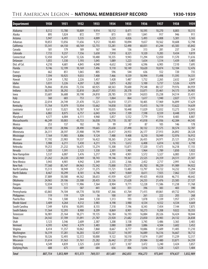#### The American Legion – **NATIONAL MEMBERSHIP RECORD 1930-1939**

| <b>Department</b>                 | 1930            | 1931             | 1932             | 1933            | 1934             | 1935             | 1936             | 1937             | 1938             | 1939             |
|-----------------------------------|-----------------|------------------|------------------|-----------------|------------------|------------------|------------------|------------------|------------------|------------------|
| Alabama                           | 8,512           | 13,780           | 10,809           | 9,914           | 10,112           | 8,471            | 10,595           | 10,270           | 8,803            | 10,315           |
| Alaska                            | 895             | 1,024            | 872              | 777             | 873              | 851              | 1,041            | 917              | 946              | 911              |
| Arizona                           | 5,947           | 6,493            | 5,535            | 4,009           | 5,223            | 4,826            | 5,493            | 4,808            | 5,301            | 5,165            |
| Arkansas                          | 10,853          | 13,056           | 11,656           | 9,212           | 10,403           | 10,094           | 9,657            | 10,562           | 10,608           | 12,798           |
| California                        | 55,541          | 64,150           | 60,769           | 52,755          | 53,281           | 52,490           | 60,031           | 61,244           | 65,583           | 65,842           |
| Canada                            | 181             | 179              | 189              | 167             | 144              | 136              | 313              | 281              | 237              | 234              |
| Colorado                          | 7,733           | 9,237            | 7,556            | 5,650           | 7,910            | 8,321            | 9,320            | 9,283            | 9,434            | 9,819            |
| Connecticut                       | 12,450<br>1,055 | 14,247           | 12,326<br>1,193  | 10,480<br>1,045 | 10,335<br>1,089  | 9,943<br>1,223   | 11,294<br>1,654  | 12,050<br>1,514  | 11,570<br>1,439  | 11,616<br>1,481  |
| Delaware<br>Dist. of Col.         | 4,210           | 1,330<br>4,681   | 4,845            | 4,040           | 4,632            | 5,540            | 6,596            | 6,905            | 7,510            | 7,695            |
| Florida                           | 9,746           | 12,199           | 10,169           | 7,496           | 9,110            | 10,149           | 10,620           | 10,874           | 12,104           | 12,476           |
| France                            | 662             | 851              | 1,065            | 805             | 596              | 544              | 636              | 552              | 720              | 735              |
| Georgia                           | 7,594           | 10,925           | 9,033            | 7,400           | 7,466            | 9,539            | 10,994           | 11,498           | 11,595           | 14,331           |
| Hawaii                            | 1,534           | 1,782            | 2,226            | 1,457           | 1,428            | 1,487            | 1,752            | 2,265            | 2,632            | 2,847            |
| Idaho                             | 5,031           | 5,226            | 4,207            | 3,282           | 3,875            | 4,202            | 5,100            | 5,737            | 5,526            | 4,979            |
| Illinois                          | 76,866          | 85,036           | 72,336           | 60,925          | 68,563           | 70,600           | 79,548           | 80,127           | 79,976           | 84,959           |
| Indiana                           | 30,519          | 38,292           | 32,810           | 26,657          | 27,935           | 28,378           | 33,071           | 35,461           | 34,173           | 34,983           |
| lowa                              | 33,681          | 36,688           | 30,198           | 24,810          | 28,785           | 31,139           | 34,833           | 35,238           | 34,514           | 35,431           |
| <b>Italy</b>                      | 360             | 683              | 753              | 737             | 1,064            | 864              | 1,617            | 1,940            | 2,027            | 1,773            |
| Kansas                            | 22,014          | 24,749           | 21,470           | 15,221          | 16,810           | 17,371           | 18,405           | 17,969           | 16,899           | 17,629           |
| Kentucky<br>Louisiana             | 11,764<br>9,613 | 15,979<br>13,021 | 13,934<br>10,787 | 13,662<br>9,167 | 14,058<br>10,035 | 13,581<br>10,448 | 15,415<br>11,029 | 16,119<br>12,032 | 13,622<br>13,273 | 14,639<br>13,043 |
| Maine                             | 6,882           | 8,075            | 6,757            | 6,043           | 6,934            | 7,109            | 7,598            | 8,559            | 8,448            | 8,972            |
| Maryland                          | 4,577           | 6,004            | 6,111            | 4,968           | 5,857            | 5,552            | 7,779            | 7,914            | 8,483            | 8,807            |
| Massachusetts                     | 46,249          | 50,003           | 43,733           | 36,030          | 35,778           | 35,187           | 41,018           | 41,936           | 42,384           | 44,545           |
| Mexico                            | 253             | 137              | 102              | 76              | 99               | 37               | 87               | 105              | 146              | 178              |
| Michigan                          | 20,130          | 28,906           | 28,490           | 19,665          | 25,658           | 27,490           | 30,132           | 31,575           | 30,574           | 32,787           |
| Minnesota                         | 26,311          | 28,597           | 25,908           | 19,799          | 23,417           | 24,953           | 26,177           | 27,913           | 26,892           | 28,328           |
| Mississippi                       | 7,164           | 11,985           | 8,806            | 9,124           | 7,488            | 9,408            | 8,210            | 10,949           | 12,976           | 16,912           |
| Missouri                          | 17,192          | 23,983           | 19,537           | 16,422          | 18,265           | 21,565           | 26,435           | 24,971           | 25,121           | 29,623           |
| Montana                           | 5,988           | 6,211            | 5,430            | 4,211           | 5,176            | 5,612            | 6,408            | 6,014            | 6,102            | 6,798            |
| Nebraska                          | 19,253          | 21,232           | 16,675           | 13,274          | 15,308           | 15,871           | 17,320           | 17,473           | 16,218           | 17,155           |
| Nevada                            | 1,303           | 1,591            | 2,123<br>5,476   | 1,330<br>5,217  | 2,301            | 1,905            | 1,964            | 1,789            | 1,850            | 1,922            |
| New Hampshire<br>New Jersey       | 5,537<br>21,262 | 6,007<br>24,220  | 22,969           | 18,743          | 4,790<br>19,146  | 4,901<br>19,361  | 5,572<br>23,525  | 5,327<br>24,359  | 6,083<br>24,511  | 5,931<br>25,507  |
| New Mexico                        | 3,943           | 4,901            | 4,942            | 3,349           | 2,335            | 2,166            | 2,452            | 2,717            | 2,991            | 3,162            |
| New York                          | 77,360          | 85,147           | 84,963           | 72,342          | 73,000           | 73,571           | 85,702           | 90,239           | 91,989           | 94,922           |
| North Carolina                    | 15,513          | 18,949           | 15,257           | 11,275          | 11,721           | 13,485           | 13,797           | 14,722           | 14,232           | 15,294           |
| North Dakota                      | 8,467           | 10,299           | 8,181            | 6,746           | 6,947            | 9,069            | 8,611            | 7,925            | 7,062            | 7,557            |
| Ohio                              | 37,889          | 50,580           | 44,562           | 38,653          | 41,939           | 42,017           | 49,425           | 49,058           | 46,715           | 48,642           |
| Oklahoma                          | 24,965          | 29,106           | 23,508           | 20,435          | 25,126           | 21,628           | 24,233           | 21,476           | 23,585           | 27,127           |
| <b>Oregon</b>                     | 12,034          | 12,172           | 11,906           | 7,364           | 8,904            | 9,771            | 12,228           | 11,586           | 11,238           | 11,768           |
| Panama                            | 550             | 531              | 587              | 441             | 368              | 351              | 396              | 383              | 403              | 390              |
| Pennsylvania                      | 63,865          | 74,104           | 64,770           | 56,930          | 67,366           | 61,764           | 71,415           | 69,861           | 69,732           | 74,043           |
| Philippines<br><b>Puerto Rico</b> | 119<br>716      | 119<br>1,500     | 129<br>1,044     | 56<br>1,330     | 100<br>1,313     | 397<br>193       | 261<br>1,078     | 222<br>1,339     | 203<br>1,957     | 268<br>2,075     |
| Rhode Island                      | 3,409           | 4,264            | 4,512            | 3,983           | 4,198            | 3,980            | 4,534            | 4,552            | 4,534            | 4,669            |
| South Carolina                    | 7,349           | 9,816            | 10,095           | 8,155           | 7,318            | 7,196            | 8,343            | 7,454            | 7,144            | 7,875            |
| South Dakota                      | 11,564          | 12,293           | 8,900            | 8,209           | 8,869            | 8,901            | 10,273           | 9,208            | 9,022            | 10,355           |
| <b>Tennessee</b>                  | 16,981          | 25,164           | 18,271           | 19,135          | 16,184           | 16,193           | 16,884           | 20,326           | 16,424           | 18,044           |
| <b>Texas</b>                      | 24,542          | 37,709           | 31,091           | 21,787          | 23,920           | 21,682           | 23,850           | 20,983           | 24,132           | 26,838           |
| Utah                              | 3,123           | 3,546            | 2,609            | 2,387           | 3,208            | 3,138            | 3,745            | 3,486            | 3,365            | 3,483            |
| Vermont                           | 4,593           | 4,942            | 4,379            | 3,483           | 3,080            | 3,009            | 3,886            | 4,504            | 3,602            | 3,452            |
| Virginia                          | 8,414           | 11,357           | 10,062           | 7,860           | 8,667            | 8,777            | 10,886           | 11,609           | 11,405           | 11,210           |
| Washington                        | 16,319          | 17,281           | 16,203           | 12,437          | 13,527           | 14,597           | 16,089           | 16,516           | 16,667           | 18,712           |
| West Virginia                     | 10,326          | 12,493           | 12,572           | 10,000          | 9,122            | 10,510           | 11,874           | 11,897           | 11,239           | 12,317           |
| Wisconsin                         | 31,614          | 31,563           | 31,761           | 25,282          | 26,442           | 27,129           | 29,984           | 32,480           | 33,871           | 34,359           |
| Wyoming<br><b>Outlying Posts</b>  | 4,549<br>688    | 4,839<br>675     | 3,525<br>689     | 2,658<br>684    | 3,427<br>656     | 3,107<br>806     | 3,472<br>1,616   | 3,240<br>1,528   | 3,424<br>1,421   | 3,857<br>1,404   |
|                                   |                 |                  |                  |                 |                  |                  |                  |                  |                  |                  |
| <b>Total</b>                      | 887,754         | 1,053,909        | 931,373          | 769,551         | 831,681          | 842,855          | 956,273          | 973,841          | 974,637          | 1,032,989        |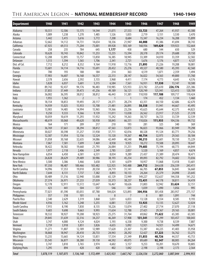#### The American Legion – **NATIONAL MEMBERSHIP RECORD 1940-1949**

| <b>Department</b>     | 1940           | 1941           | 1942           | 1943           | 1944           | 1945           | 1946            | 1947            | 1948            | 1949            |
|-----------------------|----------------|----------------|----------------|----------------|----------------|----------------|-----------------|-----------------|-----------------|-----------------|
| Alabama               | 10,551         | 12,506         | 13,175         | 14,544         | 21,075         | 27,553         | 53,723          | 47,264          | 41,937          | 43,300          |
| Alaska                | 1,009          | 1,238          | 1,270          | 1,485          | 1,526          | 1,835          | 2,719           | 3,151           | 3,530           | 3,470           |
| Arizona               | 5,442          | 5,415          | 5,616          | 5,772          | 7,208          | 8,684          | 15,347          | 16,234          | 16,208          | 15,899          |
| Arkansas              | 12,662         | 14,112         | 14,731         | 14,654         | 18,336         | 21,947         | 44,008          | 41,386          | 41,694          | 38,743          |
| California            | 67,925         | 69,513         | 71,204         | 73,001         | 89,928         | 103,169        | 168,936         | 169,620         | 159,923         | 152,664         |
| Canada                | 258            | 235            | 784            | 645            | 1,177          | 458            | 680             | 544             | 650             | 529             |
| Colorado              | 10,628         | 10,743         | 10,842         | 11,253         | 13,235         | 15,594         | 28,378          | 29,174          | 29,688          | 29,150          |
| Connecticut           | 12,208         | 12,895         | 13,757         | 13,850         | 16,385         | 18,945         | 33,309          | 34,010          | 33,359          | 32,582          |
| <b>Delaware</b>       | 1,513          | 1,594          | 1,565          | 1,706          | 2,341          | 2,721          | 5,676           | 5,176           | 4,877           | 4,127           |
| Dist. of Col.         | 7,712          | 8,212          | 8,352          | 9,164          | 11,918         | 13,716         | 21,893          | 21,226          | 19,208          | 18,081          |
| Florida               | 13,601         | 14,114         | 14,716         | 15,691         | 20,432         | 25,276         | 49,327          | 48,580          | 45,393          | 42,560          |
| France                | 700            | 193            | 188            | 184            | 214            | 363            | 4,519           | 1,871           | 2,359           | 1,494           |
| Georgia               | 17,903         | 16,607         | 16,168         | 16,557         | 22,313         | 28,147         | 56,022          | 54,563          | 49,800          | 51,760          |
| Hawaii                | 2,578          | 2,656          | 2,592          | 3,155          | 3,968          | 4,411          | 7,174           | 4,773           | 4,643           | 4,576           |
| Idaho                 | 5,828          | 6,037          | 5,601          | 5,315          | 6,584          | 7,561          | 16,931          | 17,530          | 13,147          | 10,500          |
| Illinois              | 89,742         | 92,437         | 94,176         | 96,483         | 110,985        | 125,933        | 223,782         | 225,610         | 226,176         | 225,386         |
| Indiana               | 37,855         | 37,449         | 39,473         | 41,256         | 49,189         | 56,121         | 120,749         | 125,941         | 123,413         | 120,709         |
| lowa                  | 36,002         | 36,595         | 38,012         | 38,812         | 46,443         | 51,381         | 110,930         | 117,188         | 109,717         | 110,424         |
| Italy                 | 1,955          | 1,362          | $\overline{2}$ | $\mathbf{1}$   | $\overline{1}$ | $\mathbf{1}$   | 174             | 452             | 1,134           | 1,460           |
| Kansas                | 18,154         | 18,853         | 19,493         | 20,117         | 24,371         | 28,274         | 63,351          | 64,150          | 62,686          | 62,670          |
| Kentucky              | 14,939         | 15,025         | 15,933         | 15,708         | 21,481         | 26,895         | 58,558          | 51,941          | 44,667          | 45,495          |
| Louisiana             | 13,903         | 14,485         | 14,994         | 15,965         | 19,366         | 23,236         | 45,625          | 45,644          | 42,375          | 44,823          |
| Maine                 | 9,250          | 9,333          | 9,366          | 9,139          | 11,011         | 13,038         | 26,562          | 23,917          | 21,525          | 21,378          |
| Maryland              | 10,059         | 10,619         | 11,293         | 11,932         | 15,242         | 19,263         | 38,737          | 36,723          | 33,729          | 32,539          |
| Massachusetts         | 48,619         | 50,068         | 49,620         | 50,938         | 58,845         | 66,331         | 110,826         | 111,935         | 104,336         | 99,732          |
| Mexico                | 164            | 171            | 209            | 217            | 210            | 193            | 281             | 325             | 340             | 369             |
| Michigan              | 36,769         | 37,661         | 38,294         | 38,812         | 47,563         | 53,873         | 96,823          | 93,066          | 83,949          | 79,298          |
| Minnesota             | 30,027         | 30,398         | 31,257         | 31,938         | 37,711         | 42,016         | 80,328          | 91,124          | 83,771          | 79,256          |
| Mississippi           | 12,587         | 11,954         | 12,156         | 12,524         | 15,120         | 19,267         | 40,754          | 32,975          | 29,565          | 30,184          |
| Missouri              | 31,058         | 30,168         | 32,635         | 34,086         | 42,449         | 48,540         | 90,215          | 82,601          | 78,150          | 75,229          |
| Montana               | 7,067          | 7,581          | 7,699          | 7,469          | 8,938          | 9,925          | 18,272          | 19,508          | 20,095          | 18,647          |
| Nebraska              | 18,422         | 18,582         | 19,660         | 21,793         | 26,084         | 31,251         | 79,683          | 75,194          | 68,773          | 64,844          |
| Nevada                | 1,977          | 2,118          | 2,406          | 2,349          | 2,785          | 2,837          | 5,520           | 5,169           | 4,857           | 4,674           |
| New Hampshire         | 6,054          | 6,450          | 6,581          | 6,531          | 8,034          | 9,289          | 21,437          | 21,389          | 20,474          | 18,471          |
| New Jersey            | 26,828         | 28,629         | 29,489         | 30,986         | 38,193         | 45,254         | 89,093          | 82,792          | 74,602          | 73,036          |
| New Mexico            | 3,500          | 3,386          | 3,466          | 3,658          | 5,101          | 6,079          | 10,957          | 11,068          | 13,418          | 13,601          |
| New York              | 97,350         | 98,487         | 100,466        | 103,482        | 122,925        | 143,488        | 269,712         | 264,638         | 256,339         | 243,411         |
| North Carolina        | 14,996         | 17,353         | 19,010         | 20,550         | 24,719         | 31,141         | 66,705          | 67,853          | 56,845          | 56,660          |
| North Dakota          | 7,644          | 8,131          | 7,737          | 7,382          | 8,893          | 10,133         | 24,264          | 25,379          | 24,098          | 23,645          |
| Ohio                  | 50,489         | 51,316         | 52,940         | 55,008         | 65,129         | 72,949         | 149,227         | 152,637         | 144,358         | 141,252         |
| <b>Oklahoma</b>       | 27,374         | 26,971         | 27,233         | 27,039         | 33,373         | 38,237         | 72,431          | 64,178          | 58,811          | 54,419          |
| <b>Oregon</b>         | 12,178         | 12,911         | 13,572         | 13,647         | 16,467         | 18,626         | 31,803          | 32,942          | 33,624          | 32,151          |
| Panama                | 423            | 441            | 504            | 537            | 546            | 541            | 1,039           | 1,090           | 1,056           | 995             |
| Pennsylvania          | 77,021         | 81,590         | 83,055         | 87,780         | 104,024        | 123,893        | 304,956         | 301,458         | 283,957         | 275,157         |
| Philippines           | 357            | 318            | 101            | 6              | 8              | $\overline{7}$ | 8               | 801             | 1,091           | 744             |
| Puerto Rico           | 2,540          | 2,629          | 3,319          | 3,868          | 5,031          | 6,833          | 13,128          | 8,554           | 8,585           | 9,193           |
| <b>Rhode Island</b>   | 4,936          | 5,162          | 5,248          | 5,255          | 6,081          | 7,331          | 13,925          | 13,135          | 12,627          | 12,024          |
| South Carolina        | 7,915          | 8,190          | 7,830          | 8,135          | 10,226         | 13,074         | 27,402          | 27,714          | 27,070          | 27,118          |
| South Dakota          | 9,603          | 9,698          | 9,663          | 9,993          | 11,634         | 12,788         | 27,421          | 29,367          | 29,165          | 30,001          |
| Tennessee             | 18,532         | 18,927         | 19,208         | 18,923         | 25,275         | 31,764         | 69,062          | 71,622          | 65,385          | 63,305          |
| <b>Texas</b>          | 29,845         | 31,639         | 32,316         | 34,237         | 46,269         | 57,908         | 131,541         | 117,299         | 103,457         | 100,043         |
| Utah                  | 3,747<br>3,759 | 4,000<br>3,918 | 4,124<br>3,851 | 4,024<br>3,826 | 5,193<br>4,655 | 6,338<br>5,092 | 9,300<br>12,921 | 9,738<br>14,921 | 8,539<br>14,499 | 7,887<br>14,671 |
| Vermont               |                |                |                |                |                |                |                 |                 |                 |                 |
| Virginia              | 11,271         | 11,807         | 12,189         | 12,989         | 17,620         | 23,307         | 55,387          | 44,225          | 41,403          | 35,958          |
| Washington            | 18,868         | 18,947         | 20,410         | 20,733         | 24,943         | 28,292         | 52,427          | 57,223          | 56,762          | 53,275          |
| West Virginia         | 13,235         | 13,665         | 14,124         | 13,851         | 17,554         | 21,349         | 51,853          | 48,726          | 44,357          | 43,753          |
| Wisconsin             | 35,545         | 36,877         | 38,280         | 39,150         | 44,592         | 49,075         | 89,689          | 92,347          | 88,005          | 84,264          |
| Wyoming               | 3,747          | 3,810<br>894   | 3,765<br>428   | 3,974          | 4,602<br>402   | 5,157          | 9,253           | 10,201          | 10,670          | 10,805          |
| <b>Outlying Posts</b> | 1,295          |                |                | 420            |                | 1,042          | 2,198           | 2,198           | 2,173           | 2,564           |
| <b>Total</b>          | 1,078,119      | 1,107,075      | 1,136,148      | 1,172,499      | 1,425,923      | 1,667,742      | 3,326,556       | 3,272,060       | 3,087,044       | 2,994,955       |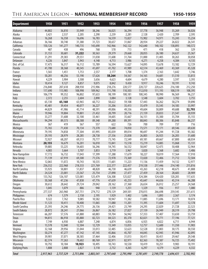#### The American Legion – **NATIONAL MEMBERSHIP RECORD 1950-1959**

| <b>Department</b>                  | 1950               | 1951               | 1952               | 1953               | 1954               | 1955               | 1956               | 1957               | 1958               | 1959               |
|------------------------------------|--------------------|--------------------|--------------------|--------------------|--------------------|--------------------|--------------------|--------------------|--------------------|--------------------|
| Alabama                            | 44,802             | 36,810             | 35,949             | 38,246             | 36,025             | 36,294             | 37,778             | 36,948             | 35,269             | 36,026             |
| Alaska                             | 3,421              | 2,537              | 2,205              | 2,290              | 2,239              | 2,281              | 2,128              | 2,420              | 2,709              | 2,595              |
| Arizona                            | 16,268             | 16,358             | 16,696             | 16,783             | 16,559             | 15,827             | 15,902             | 14,971             | 15,243             | 15,234             |
| Arkansas                           | 36,166             | 30,740             | 31,380             | 31,723             | 30,657             | 31,067             | 28,934             | 29,227             | 26,022             | 26,541             |
| California                         | 150,126            | 141,277            | 140,735            | 143,690            | 142,966            | 142,122            | 142,640            | 140,102            | 138,893            | 140,572            |
| Canada                             | 487                | 438                | 496                | 768                | 578                | 713                | 471                | 418                | 362                | 329                |
| Colorado<br>Connecticut            | 31,153<br>31,291   | 30,681<br>29,383   | 31,222<br>29,551   | 30,563<br>31,038   | 29,379<br>31,608   | 29,668<br>31,764   | 28,055<br>31,000   | 26,180<br>31,405   | 24,637<br>30,263   | 25,367<br>30,058   |
| Delaware                           | 4,226              | 3,847              | 3,943              | 4,148              | 4,713              | 3,986              | 4,271              | 4,258              | 4,384              | 4,135              |
| Dist. of Col.                      | 17,475             | 16,317             | 16,112             | 15,789             | 16,594             | 15,627             | 14,095             | 13,678             | 13,182             | 12,729             |
| Florida                            | 41,700             | 38,368             | 40,545             | 41,697             | 41,702             | 41,989             | 42,514             | 43,469             | 43,369             | 45,328             |
| France                             | 1,565              | 1,451              | 1,753              | 2,557              | 2,177              | 1,708              | 1,374              | 2,163              | 1,642              | 1,746              |
| Georgia                            | 50,281             | 48,256             | 53,190             | 57,626             | 58,264             | 54,567             | 54,165             | 54,681             | 51,510             | 53,813             |
| Hawaii                             | 4,229              | 3,904              | 3,508              | 3,656              | 4,623              | 4,604              | 4,679              | 4,280              | 3,597              | 3,393              |
| Idaho                              | 10,414             | 9,127              | 8,857              | 9,075              | 8,842              | 9,430              | 9,917              | 10,246             | 10,191             | 9,743              |
| Illinois<br>Indiana                | 216,840<br>117,690 | 207,618<br>113,985 | 208,930<br>108,998 | 215,906<br>109,962 | 218,276<br>111,798 | 220,577<br>110,503 | 220,727<br>112,010 | 220,625<br>111,193 | 216,100<br>108,519 | 212,250<br>108,395 |
| lowa                               | 106,779            | 99,352             | 96,802             | 97,633             | 98,199             | 100,181            | 100,345            | 98,990             | 96,569             | 96,237             |
| Italy                              | 2,372              | 2,255              | 2,604              | 2,890              | 3,084              | 3,128              | 3,548              | 3,604              | 3,702              | 3,755              |
| Kansas                             | 65,130             | 65,160             | 63,965             | 60,712             | 58,622             | 59,108             | 57,443             | 56,262             | 58,274             | 59,890             |
| Kentucky                           | 45,481             | 39,454             | 40,077             | 36,227             | 35,206             | 35,413             | 35,479             | 35,545             | 34,185             | 33,997             |
| Louisiana                          | 44,829             | 41,986             | 45,714             | 48,591             | 49,006             | 49,336             | 49,604             | 50,809             | 49,688             | 52,793             |
| Maine                              | 19,946             | 19,804             | 19,801             | 21,432             | 20,799             | 20,716             | 21,159             | 20,833             | 21,547             | 20,939             |
| Maryland                           | 33,277             | 31,608             | 32,100             | 33,461             | 34,605             | 35,667             | 36,151             | 35,300             | 35,704             | 35,155             |
| Massachusetts                      | 94,294             | 89,573             | 88,588             | 89,348             | 89,288             | 89,391             | 88,843             | 88,306             | 85,848             | 86,237             |
| Mexico                             | 367                | 419                | 567                | 557                | 622                | 726                | 700                | 709                | 737                | 716                |
| Michigan<br>Minnesota              | 75,765<br>79,195   | 71,430<br>74,858   | 70,134<br>77,304   | 73,370<br>81,995   | 73,680<br>85,039   | 74,050<br>89,014   | 73,571<br>90,697   | 73,171<br>91,244   | 69,546<br>91,728   | 69,630<br>93,382   |
| Mississippi                        | 29,193             | 28,979             | 28,285             | 28,738             | 27,336             | 25,838             | 26,003             | 26,925             | 26,205             | 31,600             |
| Missouri                           | 72,927             | 68,207             | 69,513             | 70,777             | 73,745             | 72,549             | 69,181             | 69,667             | 67,800             | 68,034             |
| Montana                            | 20,155             | 16,679             | 16,201             | 16,010             | 15,841             | 15,518             | 15,219             | 14,885             | 15,068             | 15,131             |
| Nebraska                           | 59,885             | 53,225             | 54,603             | 56,246             | 54,745             | 56,532             | 58,047             | 52,475             | 50,408             | 52,964             |
| Nevada                             | 4,083              | 3,664              | 3,707              | 3,853              | 3,719              | 3,967              | 3,820              | 3,568              | 3,682              | 3,406              |
| New Hampshire                      | 17,772             | 16,732             | 17,043             | 17,399             | 17,288             | 17,679             | 18,227             | 18,019             | 17,564             | 17,910             |
| New Jersey                         | 71,139             | 67,919             | 69,300             | 71,576             | 72,978             | 73,369             | 72,020             | 72,406             | 71,712             | 72,504             |
| <b>New Mexico</b><br>New York      | 12,065<br>236,552  | 11,072<br>222,968  | 10,743<br>218,333  | 10,535<br>221,769  | 11,601<br>222,377  | 11,223<br>222,457  | 11,136<br>219,538  | 11,459<br>217,446  | 14,132<br>214,140  | 12,977<br>215,816  |
| North Carolina                     | 55,925             | 50,801             | 51,837             | 48,820             | 46,730             | 46,639             | 43,263             | 42,218             | 40,675             | 41,888             |
| North Dakota                       | 24,324             | 23,001             | 23,567             | 25,754             | 27,090             | 27,477             | 27,459             | 28,164             | 28,683             | 28,909             |
| Ohio                               | 133,762            | 126,107            | 123,081            | 125,479            | 126,308            | 125,027            | 124,384            | 124,420            | 120,205            | 117,635            |
| <b>Oklahoma</b>                    | 50,368             | 47,236             | 47,838             | 47,776             | 47,639             | 45,253             | 45,647             | 44,656             | 45,314             | 46,288             |
| <b>Oregon</b>                      | 30,612             | 28,642             | 29,724             | 29,042             | 28,162             | 27,360             | 26,654             | 26,012             | 25,257             | 24,568             |
| Panama                             | 1,045              | 1,079              | 886                | 940                | 1,139              | 1,251              | 1,329              | 936                | 917                | 1,080              |
| Pennsylvania                       | 277,537            | 263,960            | 267,751            | 274,712            | 270,129            | 269,501            | 270,015            | 266,698            | 259,545            | 251,615            |
| Philippines                        | 674                | 1,579              | 2,158              | 2,195              | 1,929              | 1,402              | 1,696              | 1,893              | 2,367              | 3,174              |
| <b>Puerto Rico</b><br>Rhode Island | 9,322<br>11,123    | 7,762<br>10,411    | 9,085<br>10,400    | 10,582<br>11,065   | 10,947<br>11,080   | 11,382<br>11,201   | 11,885<br>11,395   | 11,696<br>11,604   | 13,171<br>11,697   | 10,074<br>12,178   |
| South Carolina                     | 25,393             | 24,246             | 24,775             | 26,136             | 24,421             | 23,749             | 24,295             | 22,829             | 21,728             | 22,523             |
| South Dakota                       | 28,872             | 28,241             | 27,066             | 26,867             | 26,182             | 27,827             | 27,159             | 26,949             | 28,319             | 29,798             |
| <b>Tennessee</b>                   | 66,207             | 57,576             | 61,880             | 60,883             | 59,704             | 56,942             | 57,353             | 57,407             | 53,650             | 53,759             |
| Texas                              | 94,815             | 86,918             | 83,880             | 82,723             | 84,523             | 85,370             | 82,021             | 78,771             | 77,196             | 77,121             |
| Utah                               | 7,749              | 6,930              | 6,887              | 7,248              | 6,874              | 6,856              | 6,925              | 6,822              | 6,711              | 6,944              |
| Vermont                            | 13,578             | 12,040             | 12,504             | 12,729             | 13,349             | 13,055             | 12,757             | 12,600             | 11,350             | 11,903             |
| Virginia                           | 32,168             | 29,956             | 31,044             | 33,013             | 32,485             | 32,623             | 32,528             | 31,803             | 30,175             | 30,550             |
| Washington                         | 50,274             | 47,277             | 47,142             | 47,145             | 45,866             | 45,707             | 44,045             | 42,945             | 41,946             | 42,095             |
| West Virginia<br>Wisconsin         | 39,901<br>82,374   | 37,071<br>77,263   | 38,585<br>78,602   | 37,464<br>80,769   | 32,406<br>82,971   | 31,013<br>82,971   | 30,411<br>82,363   | 30,451<br>78,387   | 29,467<br>76,725   | 29,548<br>75,492   |
| Wyoming                            | 10,792             | 10,184             | 10,923             | 10,495             | 10,743             | 10,530             | 10,419             | 10,251             | 9,983              | 10,191             |
| <b>Outlying Posts</b>              | 1,808              | 2,808              | 2,827              | 3,118              | 2,732              | 4,265              | 6,297              | 4,379              | 4,229              | 4,332              |
| <b>Total</b>                       | 2,917,963          | 2,737,529          | 2,751,896          | 2,803,541          | 2,797,640          | 2,795,990          | 2,781,691          | 2,749,778          | 2,694,431          | 2,702,992          |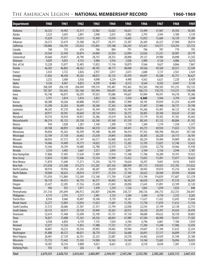#### The American Legion – **NATIONAL MEMBERSHIP RECORD 1960-1969**

| <b>Department</b>                 | 1960              | 1961              | 1962              | 1963              | 1964              | 1965              | 1966             | 1967                     | 1968              | 1969              |
|-----------------------------------|-------------------|-------------------|-------------------|-------------------|-------------------|-------------------|------------------|--------------------------|-------------------|-------------------|
| Alabama                           | 36,323            | 34,492            | 33,311            | 33,982            | 33,022            | 34,631            | 33,494           | 31,967                   | 29,592            | 30,385            |
| Alaska                            | 2,523             | 2,693             | 2,891             | 2,940             | 2,815             | 2,902             | 2,795            | 2,945                    | 3,180             | 3,139             |
| Arizona                           | 15,629            | 15,331            | 15,615            | 15,450            | 15,076            | 14,605            | 15,053           | 15,684                   | 16,139            | 17,289            |
| Arkansas                          | 26,213            | 25,619            | 25,508            | 26,277            | 24,311            | 25,307            | 26,369           | 26,227                   | 27,968            | 28,014            |
| California                        | 138,086           | 136,195           | 135,032           | 133,845           | 129,188           | 126,245           | 125,421          | 124,571                  | 124,292           | 123,723           |
| Canada                            | 768               | 733               | 676               | 766               | 804               | 791               | 786              | 787                      | 770               | 795               |
| Colorado                          | 24,564            | 25,430            | 24,874            | 24,004            | 22,924            | 22,094            | 22,026           | 21,221                   | 20,987            | 20,779            |
| Connecticut                       | 29,668            | 29,057            | 28,790            | 28,747            | 28,353            | 28,898            | 29,121           | 29,900                   | 30,898            | 31,342            |
| <b>Delaware</b>                   | 4,029             | 4,055             | 4,135             | 3,984             | 3,916             | 3,928             | 3,989            | 4,126                    | 4,086             | 4,213             |
| Dist. of Col.                     | 13,228            | 13,077            | 12,403            | 11,832            | 11,156            | 10,879            | 9,566            | 9,627                    | 8,866             | 7,867             |
| Florida                           | 46,583            | 46,802            | 48,562            | 48,105            | 48,177            | 48,040            | 49,566           | 49,569                   | 50,551            | 52,549            |
| France                            | 3,433             | 3,722             | 3,826             | 2,957             | 2,017             | 2,673             | 2,680            | 3,137                    | 2,561             | 2,424             |
| Georgia                           | 51,856            | 48,430            | 49,242            | 48,072            | 45,135            | 45,470            | 44,691           | 45,588                   | 45,751            | 46,627            |
| Hawaii                            | 3,252             | 3,608             | 3,926             | 4,098             | 4,224             | 4,490             | 4,562            | 6,621                    | 7,220             | 8,429             |
| Idaho                             | 9,336             | 8,967             | 8,825             | 8,299             | 8,484             | 8,515             | 8,564            | 8,592                    | 8,447             | 8,158             |
| Illinois                          | 208,309           | 204,139           | 204,049           | 199,219           | 195,487           | 193,465           | 192,583          | 190,505                  | 191,255           | 192,125           |
| Indiana                           | 107,387           | 103,642           | 105,168           | 105,944           | 104,695           | 105,269           | 106,723          | 110,735                  | 114,331           | 118,448           |
| lowa                              | 95,740            | 96,075            | 96,295            | 97,033            | 95,086            | 94,667            | 93,904           | 94,591                   | 94,210            | 95,386            |
| <b>Italy</b>                      | 3,791             | 3,814             | 3,816             | 3,823             | 3,566             | 3,434             | 4,365            | 3,946                    | 3,794             | 3,548             |
| Kansas                            | 60,288            | 50,266            | 60,888            | 59,927            | 58,885            | 57,909            | 58,195           | 59,059                   | 61,254            | 62,699            |
| Kentucky                          | 33,298            | 32,263            | 30,699            | 30,368            | 27,265            | 26,948            | 27,407           | 27,486                   | 28,737            | 29,190            |
| Louisiana                         | 48,242            | 47,210            | 46,621            | 45,344            | 43,803            | 45,199            | 45,266           | 45,405                   | 46,123            | 47,366            |
| Maine                             | 20,971            | 20,581            | 20,669            | 20,134            | 19,814            | 20,275            | 20,403           | 20,184                   | 20,624            | 21,362            |
| Maryland                          | 34,576            | 34,410            | 34,831            | 35,286            | 35,619            | 36,302            | 37,179           | 39,302                   | 41,181            | 43,442            |
| Massachusetts                     | 86,274            | 85,152            | 85,538            | 83,240            | 81,560            | 81,539            | 80,343           | 81,132                   | 80,806            | 81,102            |
| Mexico                            | 910               | 1,028             | 1,281             | 1,169             | 1,209             | 1,170             | 1,304            | 1,319                    | 1,358             | 1,377             |
| Michigan                          | 69,768            | 68,893            | 68,856            | 68,310            | 67,840            | 69,441            | 69,273           | 69,924                   | 71,653            | 72,735            |
| Minnesota                         | 94,858            | 95,263            | 96,399            | 95,388            | 96,309            | 96,414            | 97,762           | 100,700                  | 104,261           | 107,168           |
| Mississippi                       | 32,104            | 27,158            | 26,662            | 25,630            | 24,845            | 24,856            | 28,305           | 26,220                   | 26,115            | 26,181            |
| Missouri                          | 68,056            | 67,315            | 67,147            | 66,517            | 63,060            | 62,455            | 60,224           | 59,404                   | 59,809            | 60,162            |
| Montana                           | 14,406            | 14,409            | 14,173            | 14,022            | 13,272            | 13,282            | 13,193           | 12,827                   | 12,746            | 12,632            |
| Nebraska                          | 53,566            | 54,339            | 54,680            | 52,780            | 52,559            | 52,731            | 53,036           | 52,758                   | 54,966            | 55,938            |
| Nevada                            | 3,554             | 3,403             | 3,667             | 3,551             | 3,093             | 3,041             | 3,104            | 3,156                    | 2,944             | 3,187             |
| New Hampshire                     | 17,806            | 17,493            | 17,630            | 17,409            | 17,014            | 17,348            | 17,706           | 18,289                   | 19,191            | 19,923            |
| New Jersey                        | 72,834            | 72,805            | 72,606            | 72,534            | 72,499            | 72,422            | 72,835           | 73,491                   | 75,077            | 76,622            |
| <b>New Mexico</b>                 | 11,870            | 11,640            | 11,371            | 11,256            | 10,719            | 10,624            | 10,297           | 9,691                    | 9,416             | 9,859             |
| <b>New York</b><br>North Carolina | 215,038           | 213,388           | 213,273           | 212,287           | 207,542           | 208,999           | 207,172          | 210,925                  | 212,702           | 215,022           |
|                                   | 40,916            | 39,956            | 41,202            | 40,287            | 39,029            | 38,755            | 38,943<br>26,623 | 39,874                   | 41,216            | 42,069            |
| North Dakota<br>Ohio              | 29,000<br>115,018 | 28,622<br>112,884 | 28,014<br>112,269 | 27,977<br>112,168 | 27,254<br>111,769 | 27,104<br>112,867 | 113,196          | 28,440<br>114,839        | 29,450<br>117,607 | 30,646<br>121,378 |
| <b>Oklahoma</b>                   | 46,118            | 44,455            | 46,176            | 46,377            | 44,842            | 46,342            | 46,630           | 46,537                   | 47,510            | 46,243            |
| <b>Oregon</b>                     | 23,427            | 22,285            | 21,556            | 21,628            | 21,043            | 20,858            | 21,643           | 21,891                   | 22,109            | 22,120            |
| Panama                            | 946               | 935               | 1,071             | 1,439             | 1,254             | 1,126             | 1,065            | 1,078                    | 1,023             | 848               |
| Pennsylvania                      | 251,316           | 245,694           | 246,972           | 242,807           | 238,096           | 238,721           | 240,726          | 246,755                  | 252,355           | 256,047           |
| Philippines                       | 4,175             | 2,791             | 3,517             | 2,981             | 3,153             | 3,584             | 3,494            | 4,739                    | 5,335             | 8,265             |
| Puerto Rico                       | 8,934             | 9,660             | 10,487            | 10,348            | 9,739             | 10,181            | 11,637           | 11,422                   | 12,693            | 13,844            |
| Rhode Island                      | 12,277            | 12,003            | 12,054            | 11,653            | 11,601            | 11,702            | 11,758           | 11,819                   | 11,612            | 11,726            |
| South Carolina                    | 21,572            | 20,686            | 21,307            | 21,351            | 21,794            | 22,838            | 22,543           | 23,199                   | 22,138            | 22,753            |
| South Dakota                      | 30,135            | 30,017            | 29,720            | 29,849            | 29,263            | 28,912            | 28,220           | 29,297                   | 29,424            | 29,470            |
| Tennessee                         | 52,614            | 51,448            | 53,690            | 53,109            | 47,721            | 47,134            | 48,680           | 49,622                   | 50,150            | 50,803            |
| <b>Texas</b>                      | 76,837            | 72,088            | 72,162            | 69,236            | 68,843            | 67,989            | 67,584           | 68,900                   | 70,421            | 71,502            |
| Utah                              | 6,928             | 6,850             | 6,739             | 7,135             | 7,024             | 6,764             | 6,796            | 6,867                    | 7,100             | 7,039             |
| Vermont                           | 12,017            | 11,524            | 11,855            | 11,988            | 11,531            | 11,231            | 11,204           | 11,249                   | 11,906            | 12,476            |
| Virginia                          | 30,807            | 30,223            | 30,556            | 29,903            | 29,602            | 29,944            | 29,607           | 31,104                   | 31,632            | 32,354            |
| Washington                        | 41,888            | 40,372            | 40,021            | 38,770            | 37,625            | 36,688            | 36,691           | 37,317                   | 36,899            | 37,119            |
| West Virginia                     | 28,481            | 27,129            | 26,761            | 25,323            | 25,087            | 24,578            | 24,402           | 24,929                   | 25,190            | 25,180            |
| Wisconsin                         | 75,733            | 75,442            | 75,165            | 74,980            | 74,163            | 74,149            | 74,760           | 75,683                   | 76,094            | 76,925            |
| Wyoming                           | 10,387            | 10,316            | 9,808             | 9,021             | 8,661             | 8,521             | 8,318            | 8,030                    | 7,387             | 7,439             |
| <b>Outlying Posts</b>             | 592               | 455               | 226               | 38                |                   |                   |                  | $\overline{\phantom{a}}$ |                   |                   |
|                                   |                   |                   |                   |                   |                   |                   |                  |                          |                   |                   |
| <b>Total</b>                      | 2,679,255         | 2,628,732         | 2,635,632         | 2,602,897         | 2,544,437         | 2,547,246         | 2,553,782        | 2,585,202                | 2,623,112         | 2,667,453         |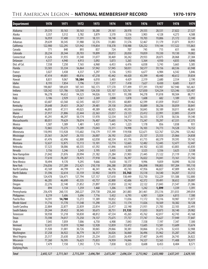#### The American Legion – **NATIONAL MEMBERSHIP RECORD 1970-1979**

| <b>Department</b>              | 1970             | 1971             | 1972                     | 1973             | 1974             | 1975             | 1976             | 1977             | 1978             | 1979             |
|--------------------------------|------------------|------------------|--------------------------|------------------|------------------|------------------|------------------|------------------|------------------|------------------|
| Alabama                        | 29,370           | 30,163           | 30,163                   | 30,280           | 29,161           | 28,978           | 29,555           | 28,531           | 27,822           | 27,527           |
| Alaska                         | 3,357            | 3,512            | 3,782                    | 3,879            | 3,570            | 3,516            | 3,903            | 4,128            | 4,273            | 4,588            |
| Arizona                        | 16,959           | 17,400           | 17,391                   | 18,131           | 18,748           | 19,025           | 19,703           | 19,806           | 21,172           | 22,140           |
| Arkansas                       | 29,639           | 30,345           | 31,988                   | 32,376           | 31,883           | 31,576           | 32,467           | 31,179           | 31,071           | 30,951           |
| California                     | 122,900          | 122,295          | 121,942                  | 119,854          | 118,378          | 118,988          | 120,232          | 119,144          | 117,522          | 115,863          |
| Canada                         | 771              | 840              | 893                      | 837              | 724              | 707              | 745              | 715              | 651              | 666              |
| Colorado                       | 20,234           | 20,344           | 20,703                   | 19,899           | 20,072           | 20,050           | 19,859           | 19,330           | 19,130           | 19,082           |
| Connecticut                    | 31,626           | 31,935           | 31,540                   | 31,077           | 30,469           | 30,242           | 29,933           | 28,875           | 28,068           | 27,384           |
| Delaware<br>Dist. of Col.      | 4,517<br>7,558   | 4,940            | 4,913                    | 5,092<br>6,960   | 5,073            | 5,265<br>6,476   | 5,364            | 4,930<br>5,743   | 4,835            | 4,846<br>5,385   |
| Florida                        | 53,503           | 7,250<br>55,334  | 7,165<br>56,864          | 57,942           | 6,453<br>57,945  | 58,031           | 6,038<br>58,577  | 59,156           | 5,665<br>60,536  | 63,948           |
| France                         | 3,027            | 3,438            | 4,337                    | 5,297            | 5,136            | 5,953            | 6,677            | 6,984            | 6,542            | 5,846            |
| Georgia                        | 47,414           | 49,001           | 48,816                   | 47,218           | 45,442           | 44,420           | 43,399           | 40,440           | 40,612           | 39,834           |
| Hawaii                         | 8,831            | 9,067            | 10,384                   | 6,010            | 5,403            | 4,429            | 2,319            | 2,680            | 2,554            | 2,190            |
| Idaho                          | 8,193            | 7,854            | 7,796                    | 7,551            | 7,377            | 7,418            | 7,627            | 8,430            | 8,685            | 8,617            |
| Illinois                       | 190,807          | 189,659          | 187,141                  | 182,173          | 177,570          | 177,499          | 177,391          | 170,907          | 167,940          | 165,461          |
| Indiana                        | 120,342          | 121,786          | 123,590                  | 124,330          | 125,107          | 125,761          | 127,830          | 124,234          | 123,346          | 123,487          |
| lowa                           | 96,278           | 94,652           | 94,323                   | 94,026           | 93,151           | 93,398           | 94,278           | 91,818           | 90,504           | 88,711           |
| Italy                          | 3,106            | 2,929            | 2,561                    | 2,269            | 2,008            | 1,878            | 1,608            | 682              | 1,189            | 1,092            |
| Kansas                         | 63,607           | 63,560           | 62,545                   | 60,537           | 59,535           | 60,801           | 62,599           | 61,059           | 59,657           | 59,462           |
| Kentucky                       | 29,648           | 29,431           | 29,267                   | 29,481           | 29,158           | 29,610           | 30,889           | 30,236           | 30,059           | 30,841           |
| Louisiana                      | 46,893           | 47,511           | 49,025                   | 49,389           | 48,925           | 49,593           | 50,845           | 50,189           | 50,011           | 48,861           |
| Maine                          | 21,917           | 21,806           | 22,444                   | 22,363           | 23,037           | 23,123           | 23,412           | 22,991           | 22,805           | 23,419           |
| Maryland<br>Massachusetts      | 45,291<br>80,051 | 48,297<br>79,629 | 50,174<br>78,074         | 51,970<br>76,407 | 52,534<br>75,605 | 54,377<br>74,714 | 56,333<br>73,247 | 57,378<br>70,297 | 58,536<br>67,331 | 59,340<br>67,375 |
| Mexico                         | 1,507            | 1,389            | 1,481                    | 1,433            | 1,445            | 1,223            | 1,178            | 856              | 1,038            | 931              |
| Michigan                       | 72,865           | 73,275           | 73,209                   | 73,043           | 72,311           | 74,998           | 76,103           | 74,773           | 74,528           | 74,152           |
| Minnesota                      | 110,993          | 113,928          | 115,602                  | 116,179          | 117,199          | 119,938          | 122,671          | 122,767          | 123,296          | 123,462          |
| Mississippi                    | 25,561           | 26,547           | 26,155                   | 26,007           | 26,192           | 25,621           | 25,137           | 25,553           | 25,066           | 24,838           |
| Missouri                       | 61,476           | 62,496           | 62,800                   | 62,058           | 60,334           | 61,176           | 61,715           | 60,379           | 59,595           | 59,142           |
| Montana                        | 12,637           | 12,875           | 13,113                   | 13,101           | 12,774           | 12,665           | 12,482           | 12,445           | 12,477           | 12,447           |
| Nebraska                       | 57,523           | 58,006           | 60,335                   | 61,592           | 61,846           | 64,010           | 64,102           | 63,583           | 63,803           | 63,830           |
| Nevada                         | 3,156            | 3,246            | 3,343                    | 3,195            | 3,435            | 3,503            | 3,523            | 3,556            | 3,625            | 3,538            |
| New Hampshire                  | 21,042           | 21,076           | 20,994                   | 21,182           | 21,284           | 21,903           | 21,445           | 21,122           | 21,119           | 21,190           |
| New Jersey                     | 77,610           | 78,287           | 78,473                   | 77,918           | 77,366           | 76,397           | 76,022           | 74,041           | 73,161           | 71,742           |
| <b>New Mexico</b>              | 10,494           | 9,170            | 9,295                    | 9,666            | 9,630            | 10,177           | 9,996            | 9,859            | 10,090           | 10,350           |
| New York                       | 216,036          | 217,289          | 212,421                  | 210,118          | 206,288          | 207,038          | 206,898          | 198,803          | 197,204          | 195,110          |
| North Carolina<br>North Dakota | 43,169<br>31,596 | 44,799<br>32,614 | 46,111<br>33,159         | 46,341<br>33,902 | 46,756<br>34,970 | 45,743<br>35,763 | 47,956<br>35,518 | 46,827<br>34,540 | 47,009<br>34,207 | 46,925<br>33,312 |
| Ohio                           | 124,478          | 126,471          | 127,794                  | 127,157          | 127,610          | 130,449          | 132,750          | 132,229          | 131,588          | 132,800          |
| <b>Oklahoma</b>                | 46,285           | 46,690           | 45,535                   | 43,757           | 42,800           | 42,606           | 42,372           | 39,491           | 38,652           | 39,097           |
| <b>Oregon</b>                  | 22,276           | 22,140           | 21,852                   | 21,897           | 21,850           | 22,142           | 22,122           | 21,843           | 21,547           | 21,386           |
| Panama                         | 894              | 1,134            | 1,259                    | 1,468            | 1,206            | 1,199            | 1,242            | 1,599            | 1,339            | 1,391            |
| Pennsylvania                   | 256,470          | 260,135          | 260,227                  | 259,738          | 258,260          | 261,883          | 261,461          | 255,516          | 251,033          | 249,054          |
| Philippines                    | 8,219            | 5,606            | 5,696                    | 7,716            | 5,432            | 6,793            | 6,901            | 5,824            | 6,813            | 7,300            |
| <b>Puerto Rico</b>             | 14,591           | 14,700           | 13,272                   | 11,389           | 10,852           | 11,036           | 11,172           | 10,316           | 10,987           | 11,077           |
| Rhode Island                   | 11,716           | 11,770           | 11,548                   | 11,290           | 11,235           | 11,174           | 11,026           | 10,569           | 10,382           | 10,128           |
| South Carolina                 | 22,804           | 22,877           | 22,839                   | 22,814           | 22,417           | 22,140           | 21,931           | 21,783           | 22,103           | 22,493           |
| South Dakota                   | 29,244           | 29,452           | 30,345                   | 30,673           | 30,751           | 31,133           | 31,033           | 30,873           | 30,140           | 29,982           |
| <b>Tennessee</b>               | 50,938           | 51,218           | 50,830                   | 48,812           | 47,534           | 45,265           | 45,762           | 42,817           | 42,743           | 43,168           |
| Texas                          | 73,598           | 74,017           | 73,250                   | 74,137           | 75,675           | 77,737           | 77,747           | 76,627           | 77,949           | 77,847           |
| Utah<br>Vermont                | 7,045<br>12,631  | 7,059<br>13,019  | 7,006<br>12,960          | 6,750<br>12,928  | 6,908<br>12,859  | 7,043<br>13,472  | 7,558<br>13,605  | 7,197<br>13,581  | 7,347<br>13,609  | 7,300<br>13,674  |
| Virginia                       | 31,920           | 31,001           | 30,726                   | 30,065           | 29,066           | 30,381           | 30,866           | 31,276           | 32,433           | 32,908           |
| Washington                     | 37,258           | 36,922           | 36,779                   | 36,317           | 36,026           | 36,060           | 36,496           | 35,962           | 35,287           | 35,245           |
| West Virginia                  | 25,517           | 25,630           | 25,014                   | 25,234           | 25,635           | 26,459           | 27,407           | 26,493           | 26,743           | 26,822           |
| Wisconsin                      | 77,260           | 76,595           | 76,623                   | 75,833           | 74,959           | 74,846           | 74,327           | 72,565           | 71,408           | 70,977           |
| Wyoming                        | 7,479            | 7,150            | 7,392                    | 7,716            | 7,838            | 8,523            | 8,608            | 8,453            | 8,404            | 8,571            |
| <b>Outlying Posts</b>          | $\blacksquare$   |                  | $\overline{\phantom{a}}$ |                  |                  |                  |                  |                  |                  |                  |
| <b>Total</b>                   | 2,692,127        | 2,711,561        | 2,715,259                | 2,696,784        | 2,673,207        | 2,696,324        | 2,713,962        | 2,653,980        | 2,637,241        | 2,629,105        |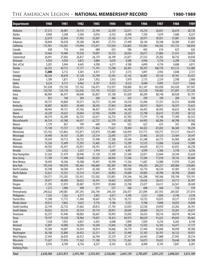#### The American Legion – **NATIONAL MEMBERSHIP RECORD 1980-1989**

| <b>Department</b>         | 1980                     | 1981             | 1982             | 1983                     | 1984                     | 1985             | 1986             | 1987                     | 1988                     | 1989             |
|---------------------------|--------------------------|------------------|------------------|--------------------------|--------------------------|------------------|------------------|--------------------------|--------------------------|------------------|
| Alabama                   | 27,215                   | 26,081           | 24,155           | 23,194                   | 22,339                   | 22,611           | 24,214           | 26,831                   | 26,619                   | 28,730           |
| Alaska                    | 4,969                    | 5,208            | 5,569            | 6,076                    | 6,333                    | 6,498            | 7,350            | 7,679                    | 7,680                    | 8,227            |
| Arizona                   | 22,619                   | 22,064           | 21,965           | 22,687                   | 23,162                   | 25,714           | 28,971           | 30,921                   | 31,087                   | 33,826           |
| Arkansas                  | 30,844                   | 30,418           | 29,240           | 28,481                   | 27,753                   | 27,449           | 28,144           | 30,348                   | 30,389                   | 31,603           |
| California                | 115,901                  | 116,587          | 114,994          | 115,817                  | 115,924                  | 133,803          | 135,003          | 146,502                  | 141,722                  | 160,050          |
| Canada                    | 658                      | 716              | 616              | 684                      | 633                      | 586              | 603              | 614                      | 623                      | 626              |
| Colorado                  | 19,464                   | 19,400           | 19,350           | 19,097                   | 18,723                   | 20,054           | 20,671           | 21,884                   | 21,931                   | 24,075           |
| Connecticut               | 26,941                   | 27,056           | 26,817           | 26,179                   | 26,109                   | 25,877           | 27,553           | 29,202                   | 30,735                   | 34,030           |
| Delaware                  | 4,924                    | 4,920            | 4,872            | 4,884                    | 4,670                    | 4,580            | 4,946            | 5,754                    | 6,289                    | 7,126            |
| Dist. of Col.             | 5,201                    | 5,044            | 4,645            | 4,398                    | 4,271                    | 4,100            | 4,699            | 4,734                    | 4,688                    | 4,811            |
| Florida                   | 66,555                   | 69,715           | 71,177           | 71,191                   | 72,788                   | 82,491           | 90,397           | 100,170                  | 101,512                  | 112,489          |
| France                    | 7,200                    | 6,712            | 4,381            | 4,411                    | 3,737                    | 3,515            | 3,097            | 2,942                    | 3,048                    | 2,721            |
| Georgia                   | 40,244                   | 38,818           | 37,128           | 35,799                   | 35,345                   | 35,142           | 36,807           | 39,134                   | 39,181                   | 43,457           |
| Hawaii                    | 1,789                    | 1,871            | 1,854            | 1,952                    | 1,933                    | 1,979            | 2,175            | 2,539                    | 2,598                    | 2,906            |
| Idaho                     | 8,224                    | 8,131            | 8,462            | 8,187                    | 8,332                    | 8,522            | 8,680            | 9,095                    | 9,357                    | 9,826            |
| Illinois                  | 161,638                  | 159,150          | 157,162          | 156,473                  | 153,937                  | 158,860          | 161,347          | 163,058                  | 162,420                  | 167,947          |
| Indiana                   | 124,782                  | 124,170          | 122,926          | 121,745                  | 121,025                  | 123,215          | 125,528          | 130,402                  | 131,097                  | 137,220          |
| lowa                      | 86,904                   | 86,477           | 84,040           | 82,857                   | 81,100                   | 81,829           | 80,209           | 80,740                   | 80,928                   | 83,191           |
| <b>Italy</b><br>Kansas    | 853<br>59,737            | 740<br>59,869    | 384<br>59,271    | 260<br>56,757            | 486<br>55,349            | 343<br>54,576    | 299<br>55,440    | 199<br>57,357            | 200<br>56,553            | 150<br>58,898    |
| Kentucky                  | 30,887                   | 30,035           | 29,440           | 28,676                   | 27,842                   | 28,442           | 28,913           | 30,811                   | 30,591                   | 33,625           |
| Louisiana                 | 48,943                   | 49,131           | 47,766           | 46,457                   | 45,011                   | 46,508           | 46,493           | 46,942                   | 46,023                   | 48,358           |
| Maine                     | 24,220                   | 24,625           | 24,064           | 23,926                   | 24,098                   | 24,327           | 25,708           | 26,615                   | 27,202                   | 28,122           |
| Maryland                  | 60,374                   | 62,200           | 62,535           | 62,611                   | 62,752                   | 67,392           | 71,741           | 75,148                   | 77,309                   | 82,533           |
| Massachusetts             | 66,554                   | 65,588           | 64,437           | 62,727                   | 62,370                   | 62,582           | 64,493           | 68,206                   | 68,788                   | 74,162           |
| Mexico                    | 1,179                    | 857              | 799              | 649                      | 594                      | 555              | 627              | 675                      | 761                      | 898              |
| Michigan                  | 75,140                   | 75,157           | 72,975           | 71,462                   | 71,621                   | 78,304           | 84,422           | 87,692                   | 86,360                   | 94,230           |
| Minnesota                 | 125,762                  | 125,862          | 125,871          | 125,874                  | 125,880                  | 126,959          | 127,773          | 130,757                  | 131,517                  | 136,473          |
| Mississippi               | 24,400                   | 24,167           | 23,381           | 23,514                   | 22,693                   | 22,771           | 23,465           | 24,125                   | 23,464                   | 24,547           |
| Missouri                  | 59,439                   | 59,712           | 58,752           | 57,498                   | 57,208                   | 59,540           | 61,248           | 64,773                   | 65,904                   | 68,589           |
| Montana                   | 12,326                   | 12,699           | 12,595           | 12,465                   | 12,425                   | 12,299           | 12,533           | 12,686                   | 12,626                   | 13,089           |
| Nebraska                  | 64,592                   | 65,457           | 65,051           | 64,761                   | 64,137                   | 64,232           | 64,620           | 65,313                   | 65,053                   | 66,238           |
| Nevada                    | 3,562                    | 3,532            | 3,327            | 3,414                    | 3,695                    | 4,401            | 4,599            | 5,366                    | 5,730                    | 6,556            |
| New Hampshire             | 21,562                   | 21,479           | 20,946           | 21,128                   | 21,509                   | 21,560           | 22,871           | 23,844                   | 24,344                   | 25,628           |
| New Jersey                | 71,789                   | 71,440           | 70,068           | 69,023                   | 68,836                   | 72,506           | 73,584           | 77,018                   | 78,143                   | 89,060           |
| New Mexico                | 10,445                   | 10,366           | 10,588           | 10,441                   | 10,590                   | 11,326           | 11,687           | 12,080                   | 11,976                   | 13,265           |
| New York                  | 193,418                  | 190,978          | 185,465          | 184,869                  | 182,407                  | 189,764          | 194,293          | 204,257                  | 209,084                  | 218,083          |
| North Carolina            | 45,398                   | 44,584           | 44,411           | 42,360                   | 41,291                   | 43,038           | 43,776           | 46,534                   | 47,403                   | 51,104           |
| North Dakota              | 32,621                   | 32,552           | 32,514           | 31,641                   | 30,892                   | 29,689           | 29,085           | 28,780                   | 28,700                   | 28,803           |
| Ohio                      | 134,571                  | 135,203          | 135,431          | 133,502                  | 133,001                  | 139,246          | 142,208          | 149,366                  | 150,190                  | 159,191          |
| <b>Oklahoma</b>           | 39,677                   | 40,080           | 38,623           | 36,541                   | 34,663                   | 34,878           | 34,636           | 36,472                   | 34,713                   | 36,307           |
| <b>Oregon</b>             | 21,395                   | 21,019           | 20,487           | 19,919                   | 20,060                   | 22,760           | 23,477           | 24,611                   | 26,561                   | 28,449           |
| Panama                    | 1,272                    | 1,080            | 948              | 611                      | 527                      | 560              | 608              | 668                      | 724                      | 570              |
| Pennsylvania              | 249,622                  | 249,081          | 247,293          | 242,794                  | 244,334                  | 256,477          | 257,094          | 267,933                  | 269,387                  | 277,014          |
| Philippines               | 7,243                    | 7,362            | 6,577            | 5,855                    | 4,671                    | 4,590            | 5,531            | 5,858                    | 6,740                    | 6,518            |
| Puerto Rico               | 11,398                   | 11,772           | 11,496           | 10,667                   | 10,776                   | 10,721           | 10,725           | 10,875                   | 10,577                   | 11,078           |
| Rhode Island              | 10,012                   | 9,862            | 9,623            | 9,176                    | 9,186                    | 9,323            | 9,398            | 9,840                    | 10,055                   | 10,848           |
| South Carolina            | 22,744                   | 22,732           | 21,662           | 20,812                   | 21,192                   | 22,035           | 22,536           | 24,859                   | 25,282                   | 26,701           |
| South Dakota<br>Tennessee | 30,022<br>42,537         | 29,576<br>41,946 | 29,374<br>40,082 | 29,174<br>36,667         | 28,951<br>34,992         | 28,649<br>35,692 | 28,869<br>36,433 | 29,211<br>38,516         | 29,281<br>38,076         | 29,677<br>40,344 |
| <b>Texas</b>              | 79,747                   | 79,328           | 78,984           | 79,837                   | 78,423                   | 84,975           | 88,629           | 91,635                   | 89,045                   | 96,462           |
| Utah                      | 7,328                    | 7,052            | 6,827            | 6,455                    | 6,048                    | 7,094            | 7,839            | 8,276                    | 8,265                    | 8,740            |
| Vermont                   | 13,897                   | 14,090           | 14,293           | 14,594                   | 15,045                   | 15,208           | 15,592           | 16,103                   | 16,471                   | 17,177           |
| Virginia                  | 33,584                   | 34,687           | 34,434           | 34,814                   | 34,666                   | 34,779           | 37,444           | 43,846                   | 44,949                   | 49,300           |
| Washington                | 36,168                   | 35,800           | 34,432           | 33,211                   | 32,167                   | 35,498           | 35,185           | 36,701                   | 36,122                   | 39,937           |
| West Virginia             | 27,443                   | 26,870           | 26,912           | 26,784                   | 27,279                   | 27,147           | 26,945           | 27,888                   | 27,993                   | 29,214           |
| Wisconsin                 | 71,657                   | 71,976           | 71,562           | 71,180                   | 72,176                   | 75,263           | 76,075           | 78,655                   | 78,648                   | 82,109           |
| Wyoming                   | 8,976                    | 8,789            | 8,756            | 8,237                    | 8,105                    | 8,325            | 8,490            | 8,195                    | 7,847                    | 8,281            |
| <b>Outlying Posts</b>     | $\overline{\phantom{a}}$ |                  |                  | $\overline{\phantom{a}}$ | $\overline{\phantom{a}}$ |                  |                  | $\overline{\phantom{a}}$ | $\overline{\phantom{a}}$ |                  |
|                           |                          |                  |                  |                          |                          |                  |                  |                          |                          |                  |
| <b>Total</b>              | 2,638,586                | 2,631,873        | 2,591,789        | 2,555,455                | 2,536,062                | 2,641,159        | 2,705,697        | 2,831,235                | 2,840,561                | 3,013,189        |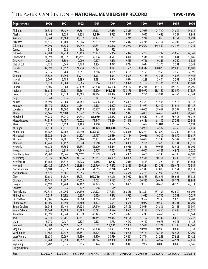#### The American Legion – **NATIONAL MEMBERSHIP RECORD 1990-1999**

| <b>Department</b>              | 1990                     | 1991             | 1992             | 1993             | 1994                     | 1995                               | 1996                     | 1997                               | 1998                               | 1999                     |
|--------------------------------|--------------------------|------------------|------------------|------------------|--------------------------|------------------------------------|--------------------------|------------------------------------|------------------------------------|--------------------------|
| Alabama                        | 28,335                   | 28,489           | 28,861           | 28,393           | 27,435                   | 25,855                             | 25,085                   | 24,792                             | 24,852                             | 24,632                   |
| Alaska                         | 8,403                    | 9,056            | 9,234            | 9,320            | 8,982                    | 8,871                              | 8,640                    | 8,688                              | 8,749                              | 8,948                    |
| Arizona                        | 33,964                   | 35,608           | 36,827           | 37,173           | 36,707                   | 36,745                             | 37,244                   | 37,868                             | 38,354                             | 38,491                   |
| Arkansas                       | 30,816                   | 30,104           | 29,846           | 28,892           | 27,719                   | 25,312                             | 24,215                   | 23,161                             | 22,707                             | 22,242                   |
| California                     | 164,293                  | 166,526          | 166,242          | 162,834          | 160,618                  | 153,967                            | 146,627                  | 145,562                            | 142,327                            | 141,245                  |
| Canada                         | 582                      | 552              | 562              | 564              | 555                      | $\overline{\phantom{a}}$           | $\sim$                   | $\overline{\phantom{a}}$           |                                    |                          |
| Colorado                       | 23,984                   | 24,728           | 25,193           | 26,277           | 25,964                   | 25,824                             | 25,262                   | 25,282                             | 25,059                             | 24,369                   |
| Connecticut                    | 34,198                   | 34,877           | 35,261           | 35,236           | 34,511                   | 33,470                             | 32,316                   | 31,584                             | 31,641                             | 31,085                   |
| Delaware                       | 7,629                    | 8,350            | 9,090            | 9,227            | 9,475                    | 9,533                              | 9,726                    | 9,841                              | 9,769                              | 9,824                    |
| Dist. of Col.                  | 4,736                    | 4,546            | 4,468            | 4,234            | 4,071                    | 3,734                              | 3,634                    | 3,570                              | 3,391                              | 3,348                    |
| Florida                        | 114,190                  | 118,652          | 121,214          | 122,972          | 123,143                  | 121,505                            | 118,312                  | 118,870                            | 119,685                            | 119,802                  |
| France                         | 2,345                    | 3,280            | 4,051            | 3,866            | 3,155                    | 3,129                              | 2,799                    | 2,559                              | 2,452                              | 2,396                    |
| Georgia                        | 43,882                   | 44,294           | 44,911           | 45,391           | 44,861                   | 44,845                             | 43,185                   | 43,385                             | 44,027                             | 44,462                   |
| Hawaii                         | 3,003                    | 3,188            | 3,399            | 3,481            | 3,544                    | 3,674                              | 3,289                    | 3,404                              | 3,301                              | 3,345                    |
| Idaho                          | 9,811                    | 10,084           | 10,505           | 10,756           | 11,181                   | 10,970                             | 11,192                   | 11,306                             | 11,188                             | 11,004                   |
| Illinois                       | 166,605                  | 168,868          | 169,139          | 168,738          | 165,186                  | 159,172                            | 155,244                  | 152,119                            | 149,172                            | 145,795                  |
| Indiana                        | 136,684                  | 139,553          | 141,561          | 142,179          | 142,243                  | 138,379                            | 136,970                  | 135,169                            | 133,059                            | 131,327                  |
| lowa                           | 82,424<br>143            | 83,079<br>176    | 83,603<br>231    | 82,814           | 81,344                   | 78,845                             | 77,281                   | 75,981<br>$\overline{\phantom{a}}$ | 74,766<br>$\overline{\phantom{a}}$ | 73,241                   |
| <b>Italy</b><br>Kansas         | 58,699                   | 59,060           | 61,584           | 241<br>59,936    | 256<br>59,043            | $\overline{\phantom{a}}$<br>55,804 | $\sim$<br>54,329         | 52,506                             | 51,516                             | 50,338                   |
| Kentucky                       | 33,170                   | 33,822           | 34,541           | 34,595           | 34,297                   | 32,807                             | 31,971                   | 32,412                             | 31,916                             | 33,187                   |
| Louisiana                      | 47,918                   | 47,602           | 47,118           | 46,527           | 44,688                   | 41,096                             | 40,060                   | 38,667                             | 38,209                             | 37,312                   |
| Maine                          | 28,665                   | 29,110           | 28,947           | 28,954           | 28,328                   | 27,047                             | 26,809                   | 26,469                             | 26,890                             | 26,448                   |
| Maryland                       | 84,725                   | 85,945           | 86,793           | 87,070           | 86,832                   | 84,398                             | 82,612                   | 81,313                             | 80,453                             | 78,748                   |
| Massachusetts                  | 74,985                   | 76,137           | 76,052           | 75,547           | 74,234                   | 71,449                             | 69,826                   | 68,102                             | 67,263                             | 65,941                   |
| Mexico                         | 1,018                    | 1,118            | 1,183            | 1,200            | 1,202                    | 1,773                              | 1,697                    | 1,789                              | 1,767                              | 1,694                    |
| Michigan                       | 94,874                   | 98,631           | 100,814          | 101,425          | 101,436                  | 96,663                             | 94,980                   | 94,587                             | 94,265                             | 92,434                   |
| Minnesota                      | 136,682                  | 137,169          | 137,290          | 137,393          | 132,792                  | 128,858                            | 126,221                  | 121,822                            | 122,200                            | 119,954                  |
| Mississippi                    | 23,922                   | 24,261           | 24,375           | 23,997           | 22,684                   | 21,154                             | 20,026                   | 19,339                             | 19,050                             | 18,687                   |
| Missouri                       | 68,179                   | 69,481           | 70,390           | 70,133           | 68,590                   | 67,402                             | 66,072                   | 65,248                             | 64,302                             | 62,783                   |
| Montana                        | 13,241                   | 13,457           | 13,620           | 13,960           | 13,539                   | 13,050                             | 12,756                   | 12,420                             | 12,181                             | 11,979                   |
| Nebraska                       | 66,026                   | 65,366           | 65,555           | 65,320           | 64,464                   | 62,918                             | 61,466                   | 59,965                             | 58,931                             | 58,005                   |
| Nevada                         | 6,614                    | 6,810            | 7,149            | 6,927            | 7,051                    | 6,753                              | 6,601                    | 6,861                              | 6,972                              | 7,220                    |
| New Hampshire                  | 26,202                   | 26,846           | 27,262           | 26,999           | 26,558                   | 25,885                             | 25,601                   | 25,145                             | 24,735                             | 24,582                   |
| New Jersey                     | 88,329                   | 91,922           | 91,516           | 90,267           | 89,005                   | 84,968                             | 82,546                   | 80,264                             | 80,280                             | 79,122                   |
| New Mexico                     | 13,661                   | 14,519           | 15,278           | 15,386           | 15,432                   | 15,019                             | 14,543                   | 14,224                             | 14,108                             | 13,861                   |
| New York                       | 217,426                  | 221,745          | 223,894          | 222,766          | 219,472                  | 212,338                            | 206,214                  | 201,298                            | 199,471                            | 195,344                  |
| North Carolina                 | 50,604                   | 50,922           | 51,218           | 51,065           | 50,248                   | 48,267                             | 47,311                   | 47,013                             | 47,551                             | 46,814                   |
| North Dakota                   | 28,526                   | 28,361           | 28,055           | 27,815           | 27,367                   | 26,636                             | 25,783                   | 24,990                             | 24,544                             | 23,998                   |
| 0hio                           | 159,653                  | 164,589          | 168,053          | 169,746          | 169,315                  | 165,952                            | 162,585                  | 158,691                            | 156,623                            | 153,985                  |
| <b>Oklahoma</b>                | 35,141                   | 34,887           | 34,659           | 34,063           | 33,187                   | 31,301                             | 30,810                   | 30,499                             | 30,171                             | 29,942                   |
| <b>Oregon</b>                  | 29,690                   | 31,769           | 32,462           | 32,375           | 31,727                   | 30,459                             | 29,193                   | 28,466                             | 28,125                             | 27,311                   |
| Panama                         | 582                      | 546              | 472              | 556              | 619                      |                                    | $\overline{a}$           |                                    |                                    |                          |
| Pennsylvania                   | 277,531                  | 281,996          | 286,130          | 282,572          | 277,673                  | 268,536                            | 263,851                  | 257,437                            | 252,650                            | 248,006                  |
| Philippines                    | 7,585                    | 9,212            | 6,835            | 6,459            | 5,475                    | 3,587                              | 3,612                    | 2,730                              | 2,761                              | 2,239                    |
| <b>Puerto Rico</b>             | 11,886                   | 12,265           | 11,988           | 11,754           | 10,645                   | 9,769                              | 9,552                    | 9,190                              | 9,075                              | 8,783                    |
| Rhode Island                   | 10,909                   | 11,198           | 11,360           | 11,303           | 10,964                   | 10,388                             | 10,072                   | 10,500                             | 10,741                             | 10,209                   |
| South Carolina<br>South Dakota | 26,944                   | 27,440           | 27,624           | 27,619           | 26,499                   | 25,328                             | 24,684                   | 24,536                             | 25,145                             | 25,569                   |
|                                | 30,064<br>40,091         | 30,189<br>40,344 | 30,388<br>40,539 | 30,093<br>40,143 | 29,696                   | 28,655                             | 28,187<br>35,213         | 27,465                             | 27,640<br>34,318                   | 27,527                   |
| Tennessee                      | 97,321                   | 101,201          | 102,391          | 101,345          | 37,599<br>98,312         | 36,071<br>94,198                   | 91,157                   | 34,456<br>90,342                   | 90,012                             | 33,561<br>87,742         |
| <b>Texas</b><br>Utah           | 8,970                    | 9,187            | 9,375            | 9,573            | 9,758                    | 9,567                              | 9,162                    | 9,675                              | 9,353                              | 9,188                    |
| Vermont                        | 17,283                   | 17,697           | 17,951           | 18,081           | 18,111                   | 17,956                             | 17,439                   | 17,224                             | 17,239                             | 17,162                   |
| Virginia                       | 51,087                   | 51,315           | 51,353           | 52,338           | 51,907                   | 52,069                             | 50,934                   | 50,999                             | 50,837                             | 51,153                   |
| Washington                     | 41,461                   | 42,632           | 43,351           | 43,405           | 42,478                   | 40,908                             | 39,761                   | 38,766                             | 38,953                             | 37,709                   |
| West Virginia                  | 29,630                   | 30,299           | 31,130           | 31,570           | 30,536                   | 29,461                             | 28,744                   | 28,268                             | 27,921                             | 27,422                   |
| Wisconsin                      | 82,404                   | 83,819           | 84,052           | 83,684           | 82,458                   | 79,839                             | 78,182                   | 76,957                             | 76,121                             | 74,858                   |
| Wyoming                        | 8,202                    | 8,376            | 8,395            | 8,424            | 8,413                    | 8,041                              | 7,962                    | 8,043                              | 8,046                              | 7,945                    |
| <b>Outlying Posts</b>          | $\overline{\phantom{a}}$ |                  |                  |                  | $\overline{\phantom{m}}$ | $\blacksquare$                     | $\overline{\phantom{a}}$ | $\overline{\phantom{a}}$           | $\overline{\phantom{a}}$           | $\overline{\phantom{a}}$ |
|                                |                          |                  |                  |                  |                          |                                    |                          |                                    |                                    |                          |
| <b>Total</b>                   | 3,025,927                | 3,085,255        | 3,115,340        | 3,104,973        | 3,053,584                | 2,950,200                          | 2,879,545                | 2,831,819                          | 2,806,834                          | 2,764,318                |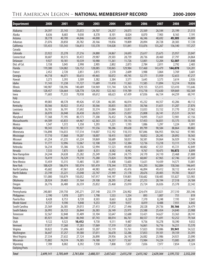#### The American Legion – **NATIONAL MEMBERSHIP RECORD 2000-2009**

| <b>Department</b>         | 2000                     | 2001             | 2002             | 2003                     | 2004             | 2005                     | 2006                     | 2007                     | 2008             | 2009             |
|---------------------------|--------------------------|------------------|------------------|--------------------------|------------------|--------------------------|--------------------------|--------------------------|------------------|------------------|
| Alabama                   | 24,397                   | 25,143           | 25,072           | 24,707                   | 24,257           | 24,073                   | 25,569                   | 26,544                   | 25,199           | 21,513           |
| Alaska                    | 8,636                    | 8,683            | 9,030            | 8,378                    | 8,101            | 8,024                    | 8,070                    | 7,903                    | 8,165            | 7,191            |
| Arizona                   | 38,778                   | 40,700           | 44,846           | 44,008                   | 43,624           | 44,003                   | 46,346                   | 48,692                   | 49,305           | 44,889           |
| Arkansas                  | 21,076                   | 20,850           | 20,782           | 20,166                   | 19,856           | 19,809                   | 20,094                   | 20,728                   | 20,383           | 17,720           |
| California                | 135,433                  | 135,543          | 136,813          | 135,578                  | 134,028          | 131,841                  | 133,076                  | 135,267                  | 136,540          | 117,257          |
| Canada                    |                          |                  |                  |                          |                  | $\omega$                 | $\omega$                 | $\omega$                 |                  |                  |
| Colorado                  | 23,922                   | 25,278           | 27,216           | 24,880                   | 24,867           | 24,693                   | 25,617                   | 25,675                   | 25,957           | 23,047           |
| Connecticut               | 30,607                   | 30,515           | 30,472           | 29,987                   | 29,503           | 28,739                   | 28,736                   | 28,460                   | 27,797           | 24,864           |
| Delaware                  | 9,927                    | 10,181           | 10,539           | 10,980                   | 11,261           | 11,726                   | 12,001                   | 12,204                   | 12,507           | 11,848           |
| Dist. of Col.             | 3,158                    | 3,045            | 2,998            | 2,905                    | 2,802            | 2,873                    | 2,784                    | 2,811                    | 2,792            | 2,483            |
| Florida                   | 119,300                  | 124,082          | 126,152          | 128,085                  | 130,065          | 129,984                  | 137,460                  | 143,479                  | 144,078          | 124,201          |
| France                    | 2,452                    | 2,720            | 2,851            | 2,815                    | 2,570            | 2,609                    | 3,988                    | 3,864                    | 3,769            | 3,681            |
| Georgia                   | 44,718                   | 46,071           | 50,613           | 49,465                   | 50,072           | 49,745                   | 52,171                   | 51,959                   | 52,653           | 47,217           |
| Hawaii                    | 3,273                    | 3,393            | 3,509            | 3,382                    | 3,384            | 3,571                    | 3,645                    | 3,573                    | 3,614            | 2,926            |
| Idaho                     | 11,143                   | 11,238           | 11,727           | 11,689                   | 11,410           | 11,363                   | 11,585                   | 11,894                   | 12,214           | 10,836           |
| Illinois                  | 140,987                  | 138,396          | 140,689          | 134,969                  | 131,744          | 128,743                  | 129,155                  | 125,015                  | 123,410          | 113,646          |
| Indiana                   | 128,457                  | 126,664          | 128,778          | 124,392                  | 122,163          | 119,789                  | 115,718                  | 112,630                  | 109,869          | 102,369          |
| lowa                      | 71,683                   | 71,333           | 70,938           | 69,612                   | 68,623           | 67,439                   | 67,036                   | 66,154                   | 64,259           | 60,741           |
| Italy                     |                          |                  |                  | $\sim$                   |                  | $\overline{\phantom{a}}$ | $\sim$ $-$               | $\overline{\phantom{a}}$ |                  |                  |
| Kansas                    | 49,083                   | 48,578           | 49,426           | 47,128                   | 46,585           | 46,014                   | 45,232                   | 44,357                   | 43,206           | 40,112           |
| Kentucky                  | 30,566                   | 30,922           | 31,412           | 30,566                   | 30,835           | 30,575                   | 30,766                   | 31,651                   | 31,207           | 27,876           |
| Louisiana<br>Maine        | 36,765<br>26,070         | 36,191<br>26,048 | 37,692<br>26,438 | 35,574<br>26,023         | 35,084<br>26,045 | 33,851<br>25,837         | 33,033<br>25,808         | 33,152<br>26,141         | 31,770<br>25,531 | 27,962           |
| Maryland                  | 77,368                   | 77,195           | 80,173           | 77,208                   | 76,432           | 75,386                   | 74,095                   | 73,631                   | 72,981           | 24,161<br>67,156 |
| Massachusetts             | 64,509                   | 63,833           | 64,467           | 62,363                   | 61,235           | 59,116                   | 57,453                   | 56,831                   | 55,175           | 50,101           |
| Mexico                    | 1,547                    | 1,372            | 1,358            | 1,293                    | 1,221            | 1,193                    | 1,086                    | 1,297                    | 1,224            | 1,091            |
| Michigan                  | 90,343                   | 90,372           | 95,927           | 91,556                   | 90,286           | 89,638                   | 89,799                   | 90,584                   | 88,864           | 80,802           |
| Minnesota                 | 116,898                  | 116,033          | 117,514          | 114,007                  | 112,192          | 110,313                  | 107,846                  | 106,955                  | 104,162          | 97,985           |
| Mississippi               | 17,710                   | 17,868           | 19,207           | 18,007                   | 18,415           | 18,817                   | 18,852                   | 20,245                   | 20,092           | 18,565           |
| Missouri                  | 61,254                   | 61,235           | 61,224           | 59,869                   | 58,689           | 58,031                   | 58,581                   | 59,064                   | 56,929           | 51,746           |
| Montana                   | 11,777                   | 12,096           | 12,067           | 12,108                   | 12,259           | 12,384                   | 12,736                   | 13,218                   | 13,111           | 12,529           |
| Nebraska                  | 56,234                   | 55,386           | 55,336           | 52,994                   | 51,523           | 49,850                   | 48,082                   | 47,351                   | 45,721           | 42,849           |
| Nevada                    | 7,533                    | 7,875            | 8,001            | 8,351                    | 8,582            | 8,942                    | 9,767                    | 10,475                   | 10,872           | 8,899            |
| New Hampshire             | 24,244                   | 24,638           | 25,282           | 25,249                   | 25,048           | 24,775                   | 24,170                   | 24,110                   | 23,468           | 21,888           |
| New Jersey                | 76,419                   | 76,529           | 79,210           | 75,280                   | 73,824           | 70,594                   | 68,847                   | 67,965                   | 67,746           | 61,547           |
| New Mexico                | 13,459                   | 13,315           | 13,485           | 13,381                   | 13,408           | 13,603                   | 13,631                   | 14,439                   | 14,571           | 13,001           |
| New York                  | 188,429                  | 186,974          | 185,974          | 181,419                  | 178,344          | 172,730                  | 165,293                  | 162,884                  | 158,566          | 146,641          |
| North Carolina            | 45,682                   | 47,061           | 45,820           | 44,983                   | 46,013           | 45,476                   | 46,894                   | 49,412                   | 50,112           | 44,414           |
| North Dakota              | 23,749                   | 23,221           | 23,048           | 22,747                   | 21,949           | 21,178                   | 20,676                   | 20,405                   | 19,783           | 18,637           |
| Ohio                      | 151,000                  | 150,879          | 150,052          | 147,917                  | 144,197          | 139,801                  | 138,682                  | 138,485                  | 135,827          | 123,983          |
| <b>Oklahoma</b>           | 28,924                   | 29,403           | 31,164           | 29,108                   | 28,295           | 27,463                   | 27,213                   | 28,194                   | 27,518           | 24,184           |
| <b>Oregon</b>             | 26,776                   | 26,480           | 26,559           | 25,832                   | 25,468           | 25,010                   | 25,724                   | 26,026                   | 25,378           | 22,342           |
| Panama                    |                          |                  |                  |                          |                  |                          | $\overline{\phantom{a}}$ |                          |                  |                  |
| Pennsylvania              | 240,881                  | 239,750          | 245,271          | 237,148                  | 232,179          | 226,902                  | 224,474                  | 223,021                  | 217,310          | 203,346          |
| Philippines               | 2,190                    | 1,978            | 2,071            | 1,798                    | 1,533            | 1,254                    | 893                      | 1,007                    | 751              | 819              |
| <b>Puerto Rico</b>        | 8,428                    | 8,753            | 8,720            | 8,503                    | 8,663            | 8,228                    | 7,370                    | 8,248                    | 7,193            | 7,041            |
| Rhode Island              | 9,737                    | 9,590            | 9,848            | 9,253                    | 9,039            | 9,017                    | 8,819                    | 8,488                    | 7,931            | 6,842            |
| South Carolina            | 25,569                   | 26,385           | 29,013           | 27,413                   | 27,412           | 27,446                   | 28,528                   | 29,736                   | 30,166           | 26,479           |
| South Dakota              | 26,993<br>32,567         | 26,722<br>32,848 | 26,844<br>35,409 | 26,383<br>33,104         | 26,149<br>32,647 | 25,975<br>32,688         | 25,588<br>33,421         | 25,454<br>34,627         | 24,840<br>33,363 | 23,908<br>28,741 |
| Tennessee<br><b>Texas</b> | 85,921                   | 86,340           | 86,940           | 87,743                   | 88,014           | 86,761                   | 88,557                   | 91,691                   | 92,252           | 79,164           |
| Utah                      | 9,122                    | 9,523            | 10,412           | 9,730                    | 9,511            | 9,487                    | 9,756                    | 10,278                   | 10,390           | 9,032            |
| Vermont                   | 17,017                   | 17,260           | 17,283           | 17,069                   | 17,319           | 17,263                   | 16,861                   | 16,716                   | 16,251           | 15,570           |
| Virginia                  | 50,822                   | 51,696           | 56,683           | 55,207                   | 55,119           | 55,761                   | 57,823                   | 59,086                   | 59,941           | 54,322           |
| Washington                | 36,647                   | 37,257           | 39,580           | 37,011                   | 36,678           | 32,286                   | 37,853                   | 39,101                   | 39,159           | 33,391           |
| West Virginia             | 27,334                   | 27,632           | 27,124           | 26,890                   | 29,956           | 26,145                   | 26,082                   | 25,986                   | 24,921           | 23,090           |
| Wisconsin                 | 73,802                   | 74,574           | 74,385           | 74,180                   | 74,337           | 73,567                   | 73,984                   | 74,224                   | 73,085           | 68,281           |
| Wyoming                   | 7,789                    | 8,002            | 8,392            | 7,938                    | 7,808            | 7,837                    | 7,836                    | 7,977                    | 7,854            | 7,324            |
| <b>Outlying Posts</b>     | $\overline{\phantom{a}}$ |                  |                  | $\overline{\phantom{a}}$ |                  |                          |                          | $\overline{\phantom{a}}$ |                  |                  |
|                           |                          |                  |                  |                          |                  |                          |                          |                          |                  |                  |
| <b>Total</b>              | 2,699,141                | 2,705,649        | 2,761,836        | 2,688,331                | 2,657,623        | 2,615,218                | 2,615,162                | 2,629,364                | 2,591,732        | 2,352,250        |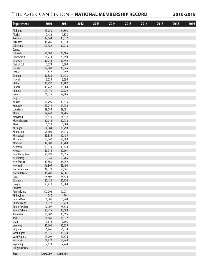#### The American Legion – **NATIONAL MEMBERSHIP RECORD 2010-2019**

| <b>Department</b>         | 2010                     | 2011                     | 2012 | 2013 | 2014 | 2015 | 2016 | 2017 | 2018 | 2019 |
|---------------------------|--------------------------|--------------------------|------|------|------|------|------|------|------|------|
| Alabama                   | 23,750                   | 24,893                   |      |      |      |      |      |      |      |      |
| Alaska                    | 7,482                    | 7,378                    |      |      |      |      |      |      |      |      |
| Arizona                   | 47,864                   | 48,327                   |      |      |      |      |      |      |      |      |
| Arkansas                  | 18,786                   | 19,038                   |      |      |      |      |      |      |      |      |
| California                | 120,382                  | 119,918                  |      |      |      |      |      |      |      |      |
| Canada                    | L,                       | $\overline{\phantom{a}}$ |      |      |      |      |      |      |      |      |
| Colorado                  | 25,000                   | 25,605                   |      |      |      |      |      |      |      |      |
| Connecticut               | 25,213                   | 25,194                   |      |      |      |      |      |      |      |      |
| Delaware                  | 12,234                   | 12,459                   |      |      |      |      |      |      |      |      |
| Dist. of Col.             | 2,373                    | 2,300                    |      |      |      |      |      |      |      |      |
| Florida                   | 132,001                  | 135,345                  |      |      |      |      |      |      |      |      |
| France                    | 3,472                    | 3,192                    |      |      |      |      |      |      |      |      |
| Georgia                   | 50,885                   | 51,473                   |      |      |      |      |      |      |      |      |
| Hawaii                    | 3,233                    | 3,298                    |      |      |      |      |      |      |      |      |
| Idaho                     | 11,490                   | 11,482                   |      |      |      |      |      |      |      |      |
| Illinois                  | 111,242                  | 108,580                  |      |      |      |      |      |      |      |      |
| Indiana                   | 103,179                  | 102,722                  |      |      |      |      |      |      |      |      |
| lowa                      | 60,325                   | 59,805                   |      |      |      |      |      |      |      |      |
| Italy                     | $\overline{\phantom{a}}$ | $\overline{\phantom{a}}$ |      |      |      |      |      |      |      |      |
| Kansas                    | 40,295                   | 39,616                   |      |      |      |      |      |      |      |      |
| Kentucky                  | 29,011                   | 31,132                   |      |      |      |      |      |      |      |      |
| Louisiana                 | 29,083                   | 29,091                   |      |      |      |      |      |      |      |      |
| Maine                     | 24,440                   | 24,286                   |      |      |      |      |      |      |      |      |
| Maryland<br>Massachusetts | 65,631<br>50,046         | 64,647                   |      |      |      |      |      |      |      |      |
| Mexico                    | 1,119                    | 49,238<br>1,084          |      |      |      |      |      |      |      |      |
| Michigan                  | 84,384                   | 85,298                   |      |      |      |      |      |      |      |      |
| Minnesota                 | 96,600                   | 95,133                   |      |      |      |      |      |      |      |      |
| Mississippi               | 19,885                   | 19,435                   |      |      |      |      |      |      |      |      |
| Missouri                  | 53,267                   | 53,390                   |      |      |      |      |      |      |      |      |
| Montana                   | 12,988                   | 13,200                   |      |      |      |      |      |      |      |      |
| Nebraska                  | 41,919                   | 40,824                   |      |      |      |      |      |      |      |      |
| Nevada                    | 10,218                   | 10,691                   |      |      |      |      |      |      |      |      |
| New Hampshire             | 21,999                   | 21,555                   |      |      |      |      |      |      |      |      |
| New Jersey                | 61,949                   | 61,265                   |      |      |      |      |      |      |      |      |
| <b>New Mexico</b>         | 13,560                   | 14,059                   |      |      |      |      |      |      |      |      |
| New York                  | 146,809                  | 145,490                  |      |      |      |      |      |      |      |      |
| North Carolina            | 48,379                   | 50,061                   |      |      |      |      |      |      |      |      |
| North Dakota              | 18,288                   | 17,981                   |      |      |      |      |      |      |      |      |
| <b>Ohio</b>               | 125,407                  | 124,574                  |      |      |      |      |      |      |      |      |
| <b>Oklahoma</b>           | 25,426                   | 25,726                   |      |      |      |      |      |      |      |      |
| <b>Oregon</b>             | 23,470                   | 23,904                   |      |      |      |      |      |      |      |      |
| Panama                    |                          |                          |      |      |      |      |      |      |      |      |
| Pennsylvania              | 202,796                  | 199,971                  |      |      |      |      |      |      |      |      |
| Philippines               | 780                      | 701                      |      |      |      |      |      |      |      |      |
| Puerto Rico               | 6,306                    | 5,964                    |      |      |      |      |      |      |      |      |
| Rhode Island              | 6,922                    | 6,714                    |      |      |      |      |      |      |      |      |
| South Carolina            | 27,907                   | 28,578                   |      |      |      |      |      |      |      |      |
| South Dakota              | 23,415                   | 23,088                   |      |      |      |      |      |      |      |      |
| Tennessee                 | 30,982                   | 31,695                   |      |      |      |      |      |      |      |      |
| Texas                     | 86,686                   | 88,032                   |      |      |      |      |      |      |      |      |
| Utah<br>Vermont           | 9,611<br>15,601          | 9,693<br>15,329          |      |      |      |      |      |      |      |      |
| Virginia                  | 56,446                   | 56,334                   |      |      |      |      |      |      |      |      |
| Washington                | 35,176                   | 35,844                   |      |      |      |      |      |      |      |      |
| West Virginia             | 23,002                   | 22,676                   |      |      |      |      |      |      |      |      |
| Wisconsin                 | 68,870                   | 68,243                   |      |      |      |      |      |      |      |      |
| Wyoming                   | 7,623                    | 7,744                    |      |      |      |      |      |      |      |      |
| <b>Outlying Posts</b>     |                          |                          |      |      |      |      |      |      |      |      |
|                           |                          |                          |      |      |      |      |      |      |      |      |
| <b>Total</b>              | 2,405,207                | 2,403,295                |      |      |      |      |      |      |      |      |